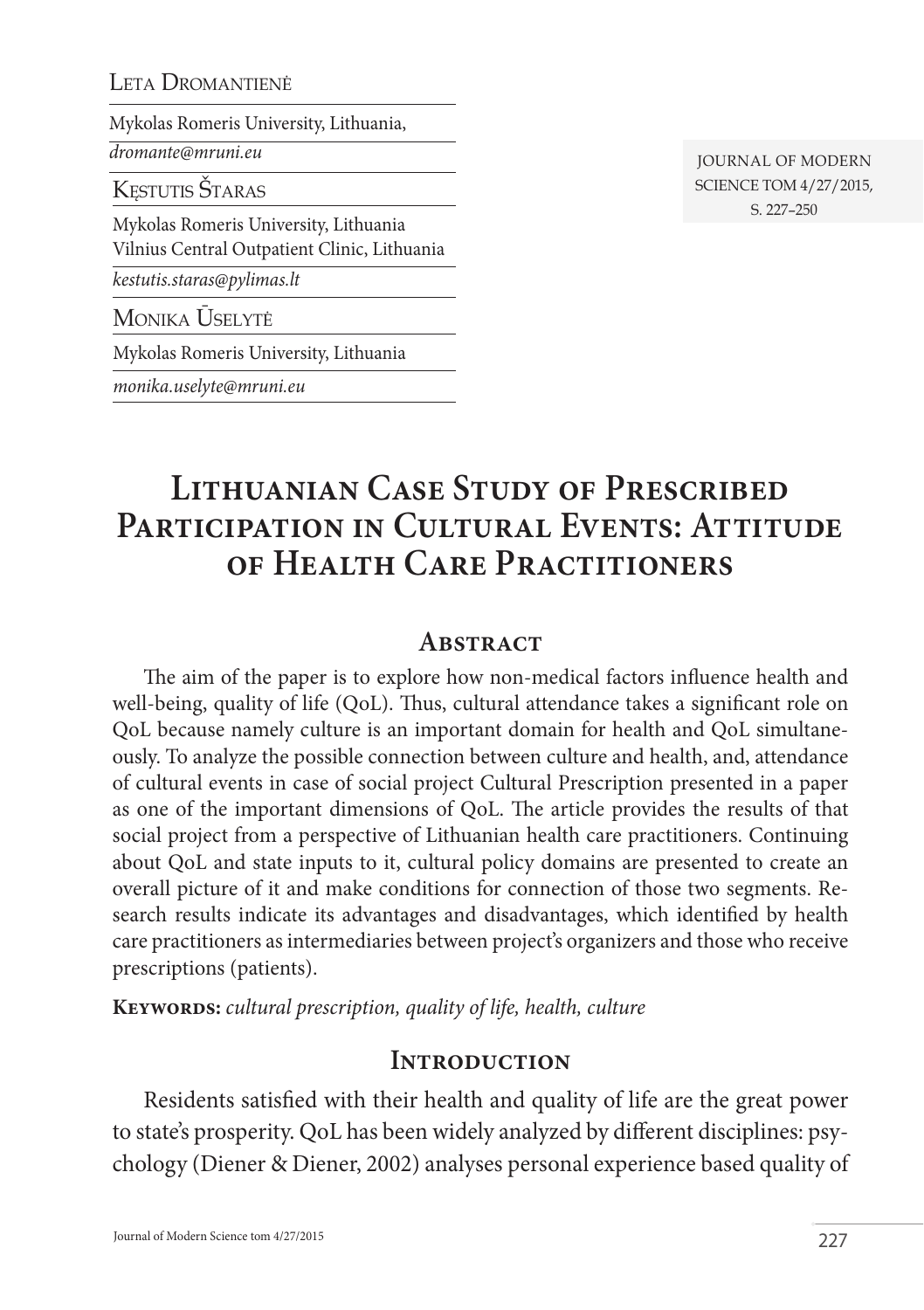#### LETA DROMANTIENĖ

Mykolas Romeris University, Lithuania,

*dromante@mruni.eu*

KESTUTIS ŠTARAS

Mykolas Romeris University, Lithuania Vilnius Central Outpatient Clinic, Lithuania

*kestutis.staras@pylimas.lt* 

Monika Ūselytė

Mykolas Romeris University, Lithuania

*monika.uselyte@mruni.eu*

Journal of Modern Science tom 4/27/2015, s. 227–250

# **Lithuanian Case Study of Prescribed**  PARTICIPATION IN CULTURAL EVENTS: ATTITUDE **of Health Care Practitioners**

### **Abstract**

The aim of the paper is to explore how non-medical factors influence health and well-being, quality of life (QoL). Thus, cultural attendance takes a significant role on QoL because namely culture is an important domain for health and QoL simultaneously. To analyze the possible connection between culture and health, and, attendance of cultural events in case of social project Cultural Prescription presented in a paper as one of the important dimensions of QoL. The article provides the results of that social project from a perspective of Lithuanian health care practitioners. Continuing about QoL and state inputs to it, cultural policy domains are presented to create an overall picture of it and make conditions for connection of those two segments. Research results indicate its advantages and disadvantages, which identified by health care practitioners as intermediaries between project's organizers and those who receive prescriptions (patients).

**Keywords:** *cultural prescription, quality of life, health, culture*

### **Introduction**

Residents satisfied with their health and quality of life are the great power to state's prosperity. QoL has been widely analyzed by different disciplines: psychology (Diener & Diener, 2002) analyses personal experience based quality of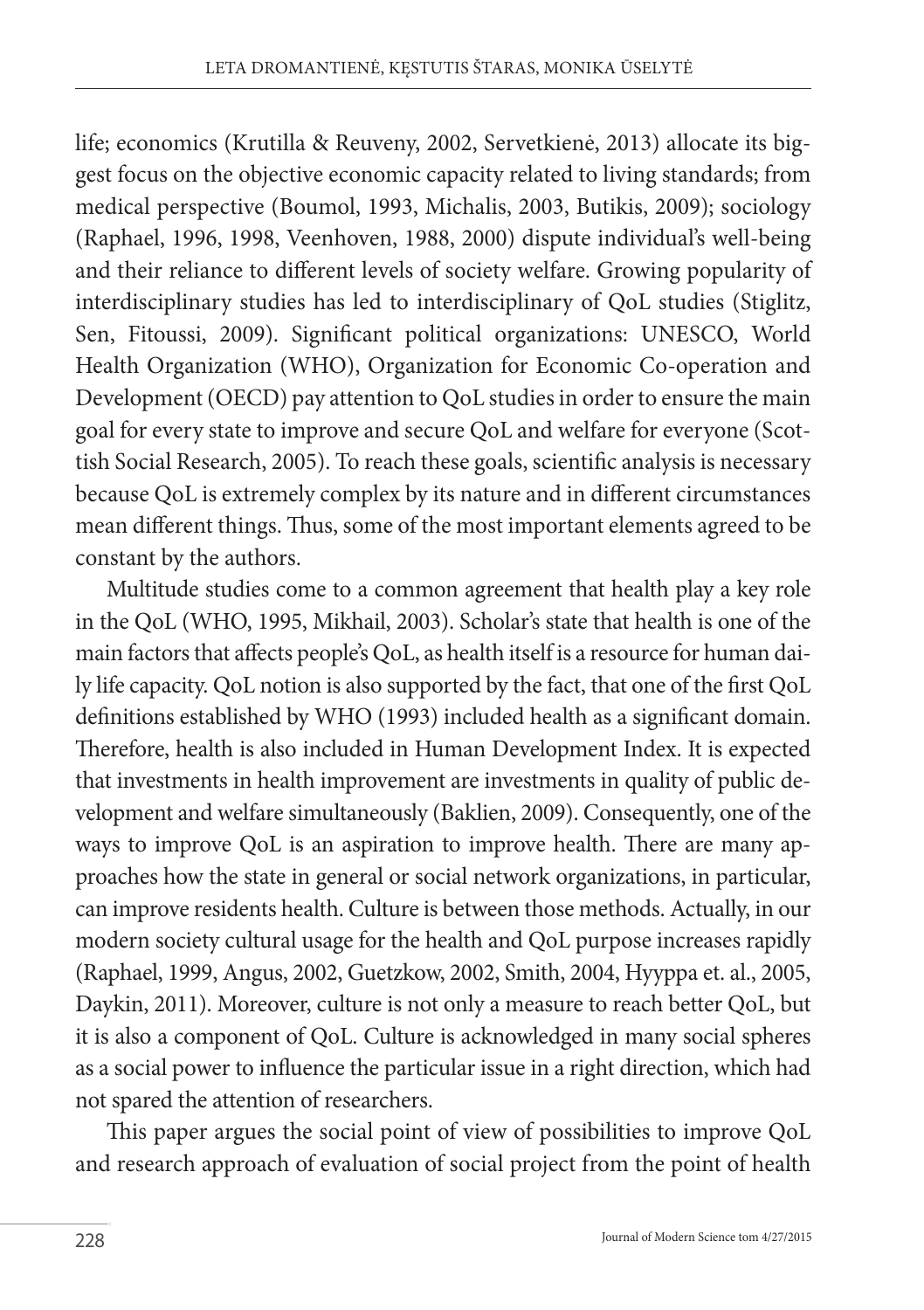life; economics (Krutilla & Reuveny, 2002, Servetkienė, 2013) allocate its biggest focus on the objective economic capacity related to living standards; from medical perspective (Boumol, 1993, Michalis, 2003, Butikis, 2009); sociology (Raphael, 1996, 1998, Veenhoven, 1988, 2000) dispute individual's well-being and their reliance to different levels of society welfare. Growing popularity of interdisciplinary studies has led to interdisciplinary of QoL studies (Stiglitz, Sen, Fitoussi, 2009). Significant political organizations: UNESCO, World Health Organization (WHO), Organization for Economic Co-operation and Development (OECD) pay attention to QoL studies in order to ensure the main goal for every state to improve and secure QoL and welfare for everyone (Scottish Social Research, 2005). To reach these goals, scientific analysis is necessary because QoL is extremely complex by its nature and in different circumstances mean different things. Thus, some of the most important elements agreed to be constant by the authors.

Multitude studies come to a common agreement that health play a key role in the QoL (WHO, 1995, Mikhail, 2003). Scholar's state that health is one of the main factors that affects people's QoL, as health itself is a resource for human daily life capacity. QoL notion is also supported by the fact, that one of the first QoL definitions established by WHO (1993) included health as a significant domain. Therefore, health is also included in Human Development Index. It is expected that investments in health improvement are investments in quality of public development and welfare simultaneously (Baklien, 2009). Consequently, one of the ways to improve QoL is an aspiration to improve health. There are many approaches how the state in general or social network organizations, in particular, can improve residents health. Culture is between those methods. Actually, in our modern society cultural usage for the health and QoL purpose increases rapidly (Raphael, 1999, Angus, 2002, Guetzkow, 2002, Smith, 2004, Hyyppa et. al., 2005, Daykin, 2011). Moreover, culture is not only a measure to reach better QoL, but it is also a component of QoL. Culture is acknowledged in many social spheres as a social power to influence the particular issue in a right direction, which had not spared the attention of researchers.

This paper argues the social point of view of possibilities to improve QoL and research approach of evaluation of social project from the point of health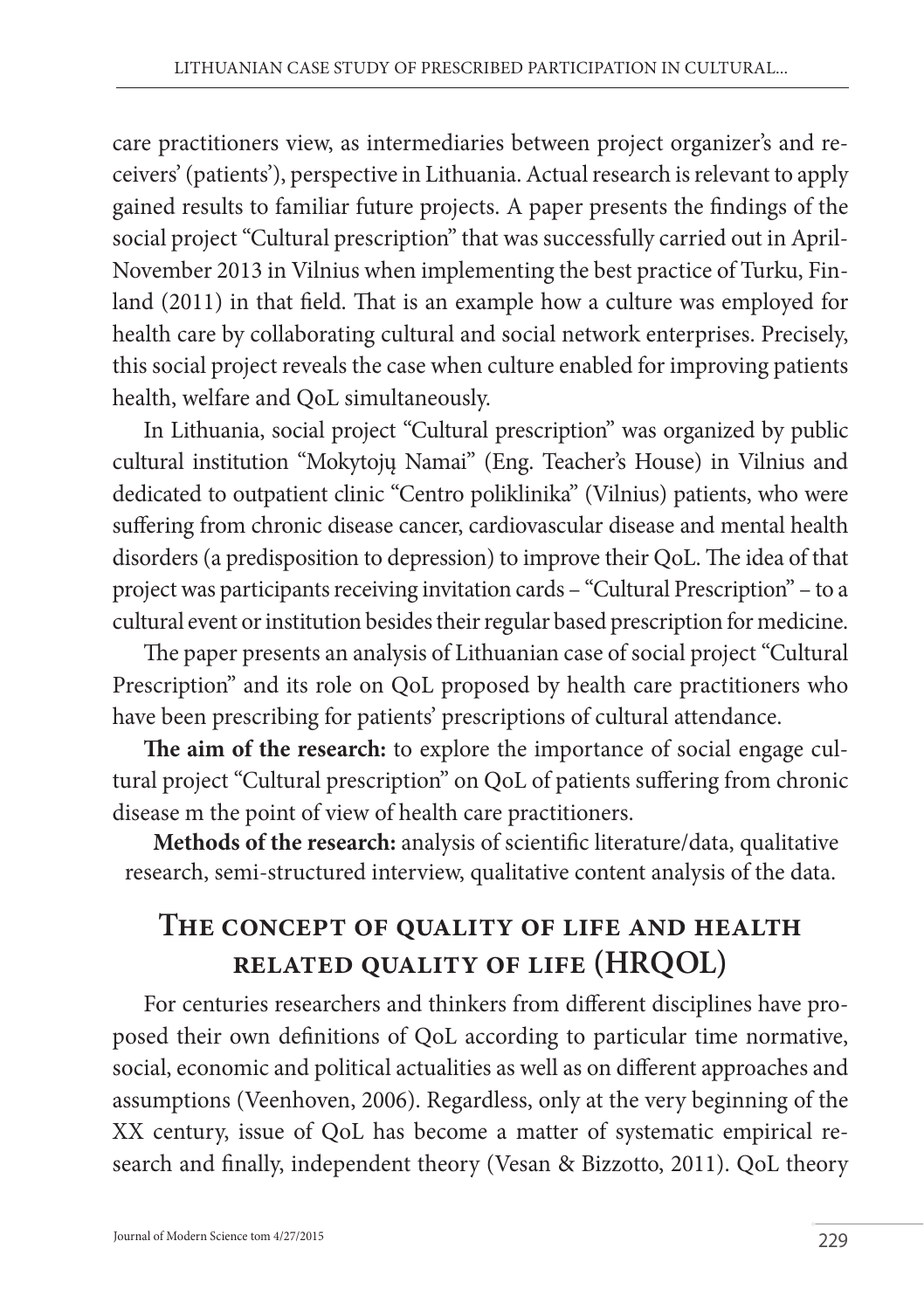care practitioners view, as intermediaries between project organizer's and receivers' (patients'), perspective in Lithuania. Actual research is relevant to apply gained results to familiar future projects. A paper presents the findings of the social project "Cultural prescription" that was successfully carried out in April-November 2013 in Vilnius when implementing the best practice of Turku, Finland (2011) in that field. That is an example how a culture was employed for health care by collaborating cultural and social network enterprises. Precisely, this social project reveals the case when culture enabled for improving patients health, welfare and QoL simultaneously.

In Lithuania, social project "Cultural prescription" was organized by public cultural institution "Mokytojų Namai" (Eng. Teacher's House) in Vilnius and dedicated to outpatient clinic "Centro poliklinika" (Vilnius) patients, who were suffering from chronic disease cancer, cardiovascular disease and mental health disorders (a predisposition to depression) to improve their QoL. The idea of that project was participants receiving invitation cards – "Cultural Prescription" – to a cultural event or institution besides their regular based prescription for medicine.

The paper presents an analysis of Lithuanian case of social project "Cultural Prescription" and its role on QoL proposed by health care practitioners who have been prescribing for patients' prescriptions of cultural attendance.

**The aim of the research:** to explore the importance of social engage cultural project "Cultural prescription" on QoL of patients suffering from chronic disease m the point of view of health care practitioners.

**Methods of the research:** analysis of scientific literature/data, qualitative research, semi-structured interview, qualitative content analysis of the data.

# **The concept of quality of life and health related quality of life (HRQOL)**

For centuries researchers and thinkers from different disciplines have proposed their own definitions of QoL according to particular time normative, social, economic and political actualities as well as on different approaches and assumptions (Veenhoven, 2006). Regardless, only at the very beginning of the XX century, issue of QoL has become a matter of systematic empirical research and finally, independent theory (Vesan & Bizzotto, 2011). QoL theory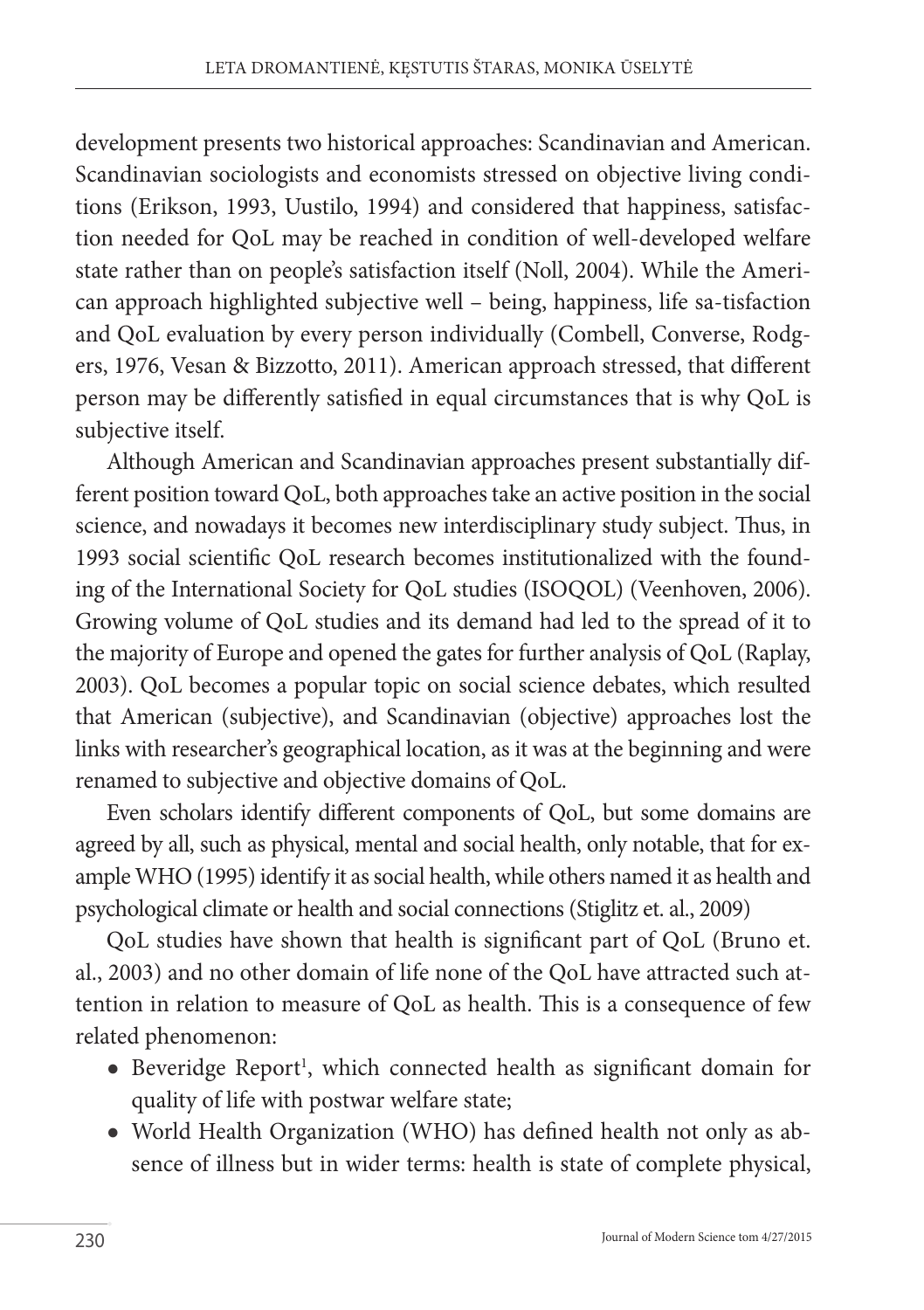development presents two historical approaches: Scandinavian and American. Scandinavian sociologists and economists stressed on objective living conditions (Erikson, 1993, Uustilo, 1994) and considered that happiness, satisfaction needed for QoL may be reached in condition of well-developed welfare state rather than on people's satisfaction itself (Noll, 2004). While the American approach highlighted subjective well – being, happiness, life sa-tisfaction and QoL evaluation by every person individually (Combell, Converse, Rodgers, 1976, Vesan & Bizzotto, 2011). American approach stressed, that different person may be differently satisfied in equal circumstances that is why QoL is subjective itself.

Although American and Scandinavian approaches present substantially different position toward QoL, both approaches take an active position in the social science, and nowadays it becomes new interdisciplinary study subject. Thus, in 1993 social scientific QoL research becomes institutionalized with the founding of the International Society for QoL studies (ISOQOL) (Veenhoven, 2006). Growing volume of QoL studies and its demand had led to the spread of it to the majority of Europe and opened the gates for further analysis of QoL (Raplay, 2003). QoL becomes a popular topic on social science debates, which resulted that American (subjective), and Scandinavian (objective) approaches lost the links with researcher's geographical location, as it was at the beginning and were renamed to subjective and objective domains of QoL.

Even scholars identify different components of QoL, but some domains are agreed by all, such as physical, mental and social health, only notable, that for example WHO (1995) identify it as social health, while others named it as health and psychological climate or health and social connections (Stiglitz et. al., 2009)

QoL studies have shown that health is significant part of QoL (Bruno et. al., 2003) and no other domain of life none of the QoL have attracted such attention in relation to measure of QoL as health. This is a consequence of few related phenomenon:

- Beveridge Report<sup>1</sup>, which connected health as significant domain for quality of life with postwar welfare state;
- World Health Organization (WHO) has defined health not only as absence of illness but in wider terms: health is state of complete physical,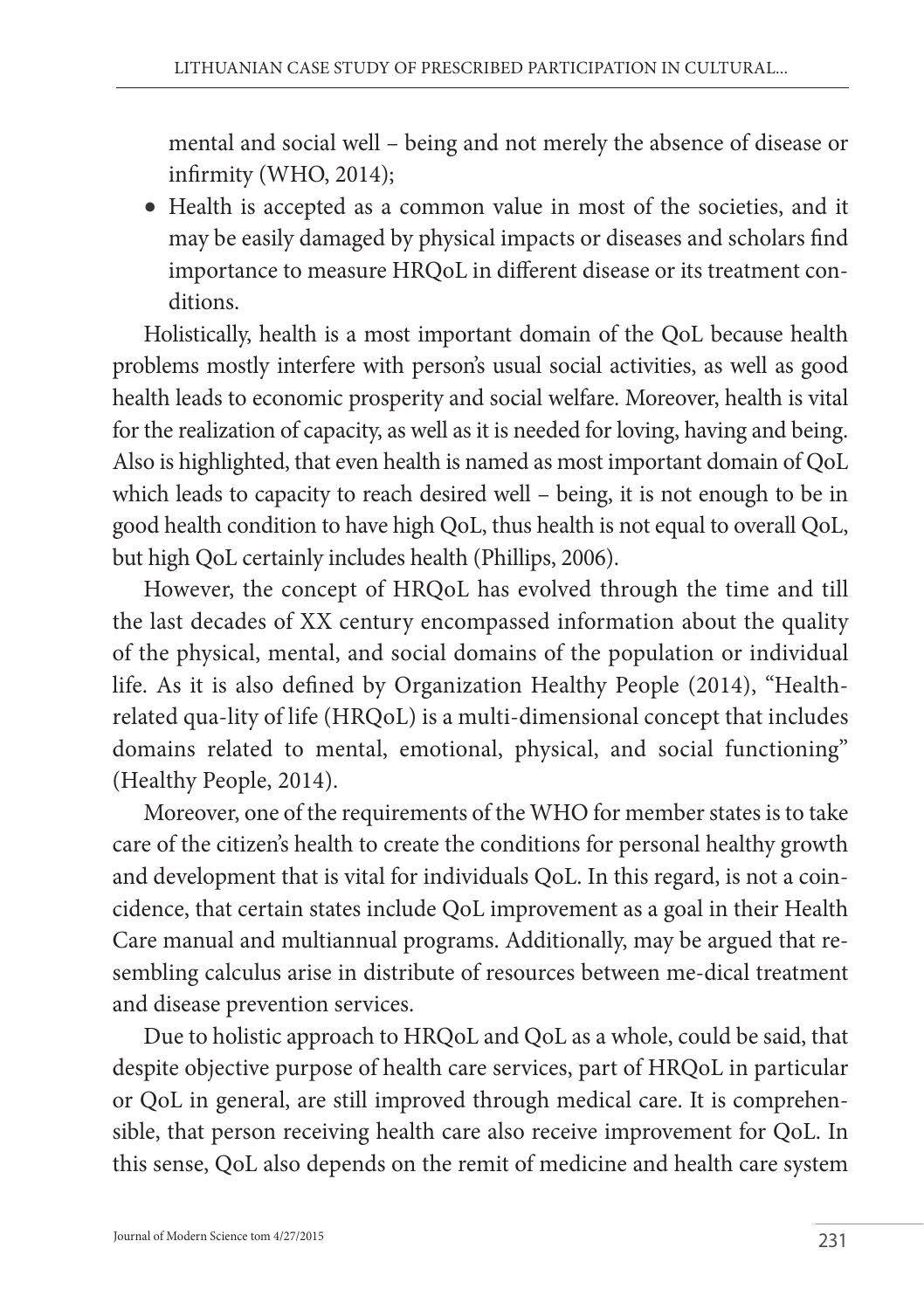mental and social well – being and not merely the absence of disease or infirmity (WHO, 2014);

 Health is accepted as a common value in most of the societies, and it may be easily damaged by physical impacts or diseases and scholars find importance to measure HRQoL in different disease or its treatment conditions.

Holistically, health is a most important domain of the QoL because health problems mostly interfere with person's usual social activities, as well as good health leads to economic prosperity and social welfare. Moreover, health is vital for the realization of capacity, as well as it is needed for loving, having and being. Also is highlighted, that even health is named as most important domain of QoL which leads to capacity to reach desired well – being, it is not enough to be in good health condition to have high QoL, thus health is not equal to overall QoL, but high QoL certainly includes health (Phillips, 2006).

However, the concept of HRQoL has evolved through the time and till the last decades of XX century encompassed information about the quality of the physical, mental, and social domains of the population or individual life. As it is also defined by Organization Healthy People (2014), "Healthrelated qua-lity of life (HRQoL) is a multi-dimensional concept that includes domains related to mental, emotional, physical, and social functioning" (Healthy People, 2014).

Moreover, one of the requirements of the WHO for member states is to take care of the citizen's health to create the conditions for personal healthy growth and development that is vital for individuals QoL. In this regard, is not a coincidence, that certain states include QoL improvement as a goal in their Health Care manual and multiannual programs. Additionally, may be argued that resembling calculus arise in distribute of resources between me-dical treatment and disease prevention services.

Due to holistic approach to HRQoL and QoL as a whole, could be said, that despite objective purpose of health care services, part of HRQoL in particular or QoL in general, are still improved through medical care. It is comprehensible, that person receiving health care also receive improvement for QoL. In this sense, QoL also depends on the remit of medicine and health care system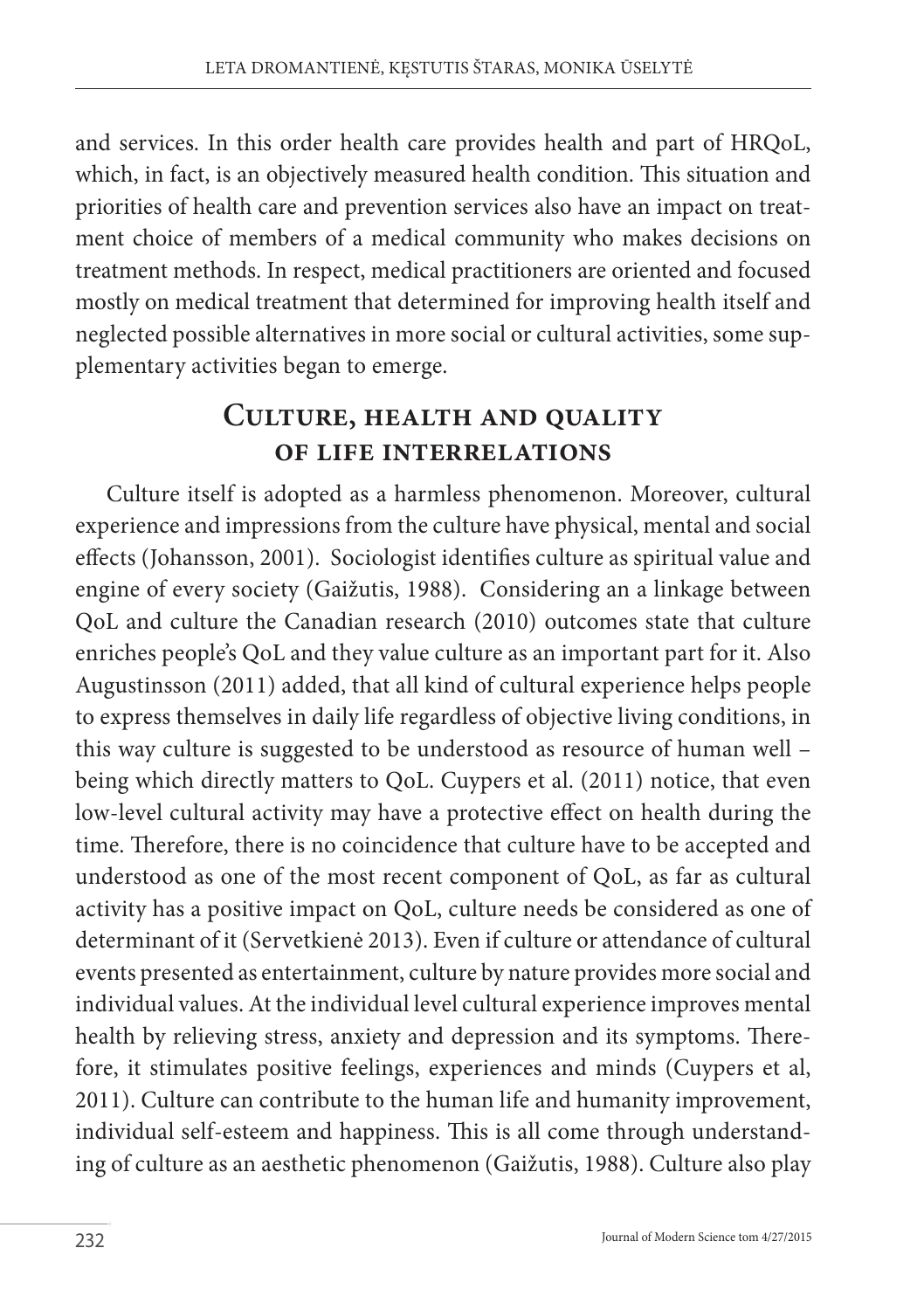and services. In this order health care provides health and part of HRQoL, which, in fact, is an objectively measured health condition. This situation and priorities of health care and prevention services also have an impact on treatment choice of members of a medical community who makes decisions on treatment methods. In respect, medical practitioners are oriented and focused mostly on medical treatment that determined for improving health itself and neglected possible alternatives in more social or cultural activities, some supplementary activities began to emerge.

# **Culture, health and quality of life interrelations**

Culture itself is adopted as a harmless phenomenon. Moreover, cultural experience and impressions from the culture have physical, mental and social effects (Johansson, 2001). Sociologist identifies culture as spiritual value and engine of every society (Gaižutis, 1988). Considering an a linkage between QoL and culture the Canadian research (2010) outcomes state that culture enriches people's QoL and they value culture as an important part for it. Also Augustinsson (2011) added, that all kind of cultural experience helps people to express themselves in daily life regardless of objective living conditions, in this way culture is suggested to be understood as resource of human well – being which directly matters to QoL. Cuypers et al. (2011) notice, that even low-level cultural activity may have a protective effect on health during the time. Therefore, there is no coincidence that culture have to be accepted and understood as one of the most recent component of QoL, as far as cultural activity has a positive impact on QoL, culture needs be considered as one of determinant of it (Servetkienė 2013). Even if culture or attendance of cultural events presented as entertainment, culture by nature provides more social and individual values. At the individual level cultural experience improves mental health by relieving stress, anxiety and depression and its symptoms. Therefore, it stimulates positive feelings, experiences and minds (Cuypers et al, 2011). Culture can contribute to the human life and humanity improvement, individual self-esteem and happiness. This is all come through understanding of culture as an aesthetic phenomenon (Gaižutis, 1988). Culture also play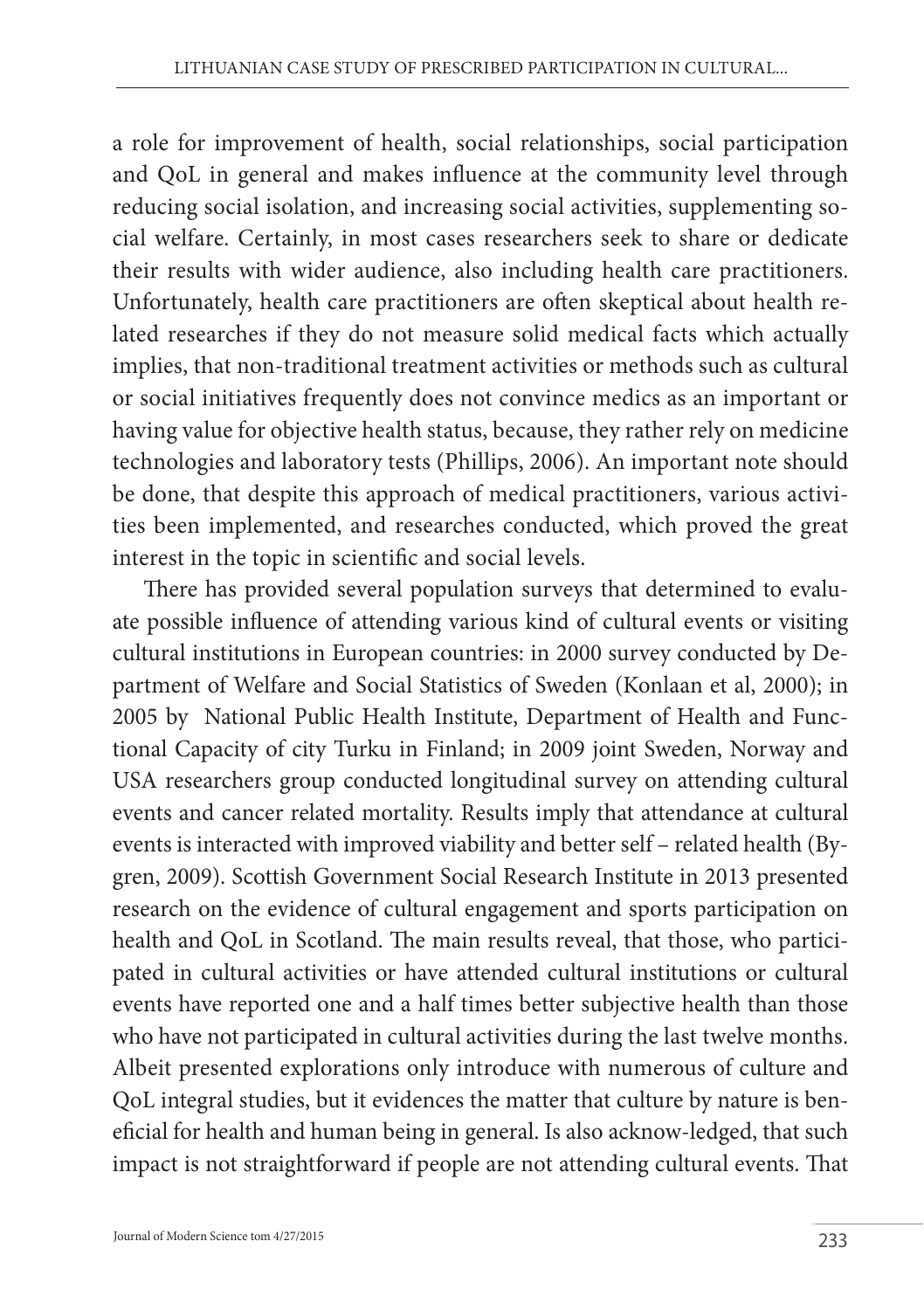a role for improvement of health, social relationships, social participation and QoL in general and makes influence at the community level through reducing social isolation, and increasing social activities, supplementing social welfare. Certainly, in most cases researchers seek to share or dedicate their results with wider audience, also including health care practitioners. Unfortunately, health care practitioners are often skeptical about health related researches if they do not measure solid medical facts which actually implies, that non-traditional treatment activities or methods such as cultural or social initiatives frequently does not convince medics as an important or having value for objective health status, because, they rather rely on medicine technologies and laboratory tests (Phillips, 2006). An important note should be done, that despite this approach of medical practitioners, various activities been implemented, and researches conducted, which proved the great interest in the topic in scientific and social levels.

There has provided several population surveys that determined to evaluate possible influence of attending various kind of cultural events or visiting cultural institutions in European countries: in 2000 survey conducted by Department of Welfare and Social Statistics of Sweden (Konlaan et al, 2000); in 2005 by National Public Health Institute, Department of Health and Functional Capacity of city Turku in Finland; in 2009 joint Sweden, Norway and USA researchers group conducted longitudinal survey on attending cultural events and cancer related mortality. Results imply that attendance at cultural events is interacted with improved viability and better self – related health (Bygren, 2009). Scottish Government Social Research Institute in 2013 presented research on the evidence of cultural engagement and sports participation on health and QoL in Scotland. The main results reveal, that those, who participated in cultural activities or have attended cultural institutions or cultural events have reported one and a half times better subjective health than those who have not participated in cultural activities during the last twelve months. Albeit presented explorations only introduce with numerous of culture and QoL integral studies, but it evidences the matter that culture by nature is beneficial for health and human being in general. Is also acknow-ledged, that such impact is not straightforward if people are not attending cultural events. That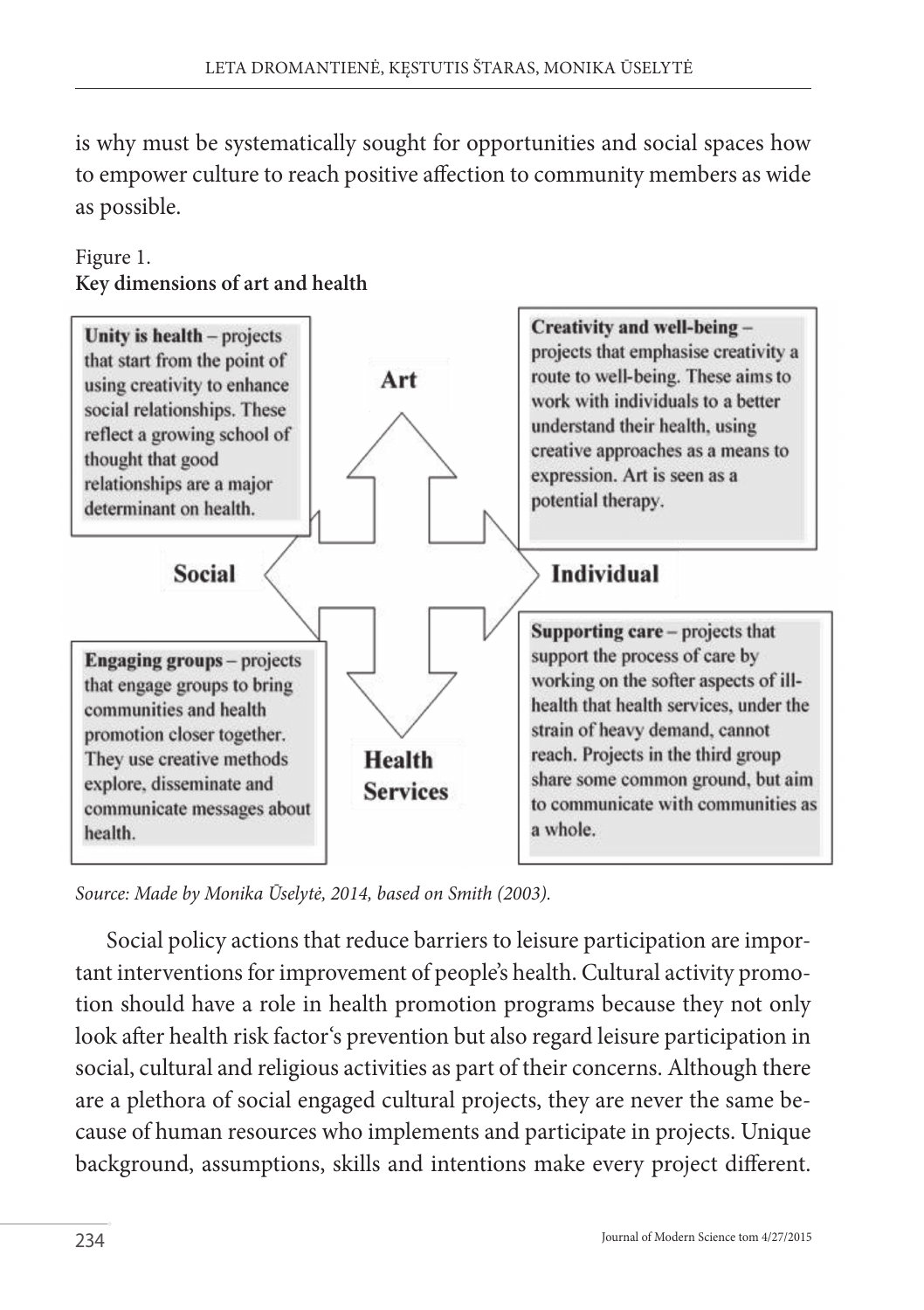is why must be systematically sought for opportunities and social spaces how to empower culture to reach positive affection to community members as wide as possible.



#### Figure 1. **Key dimensions of art and health**

*Source: Made by Monika Ūselytė, 2014, based on Smith (2003).*

Social policy actions that reduce barriers to leisure participation are important interventions for improvement of people's health. Cultural activity promotion should have a role in health promotion programs because they not only look after health risk factor's prevention but also regard leisure participation in social, cultural and religious activities as part of their concerns. Although there are a plethora of social engaged cultural projects, they are never the same because of human resources who implements and participate in projects. Unique background, assumptions, skills and intentions make every project different.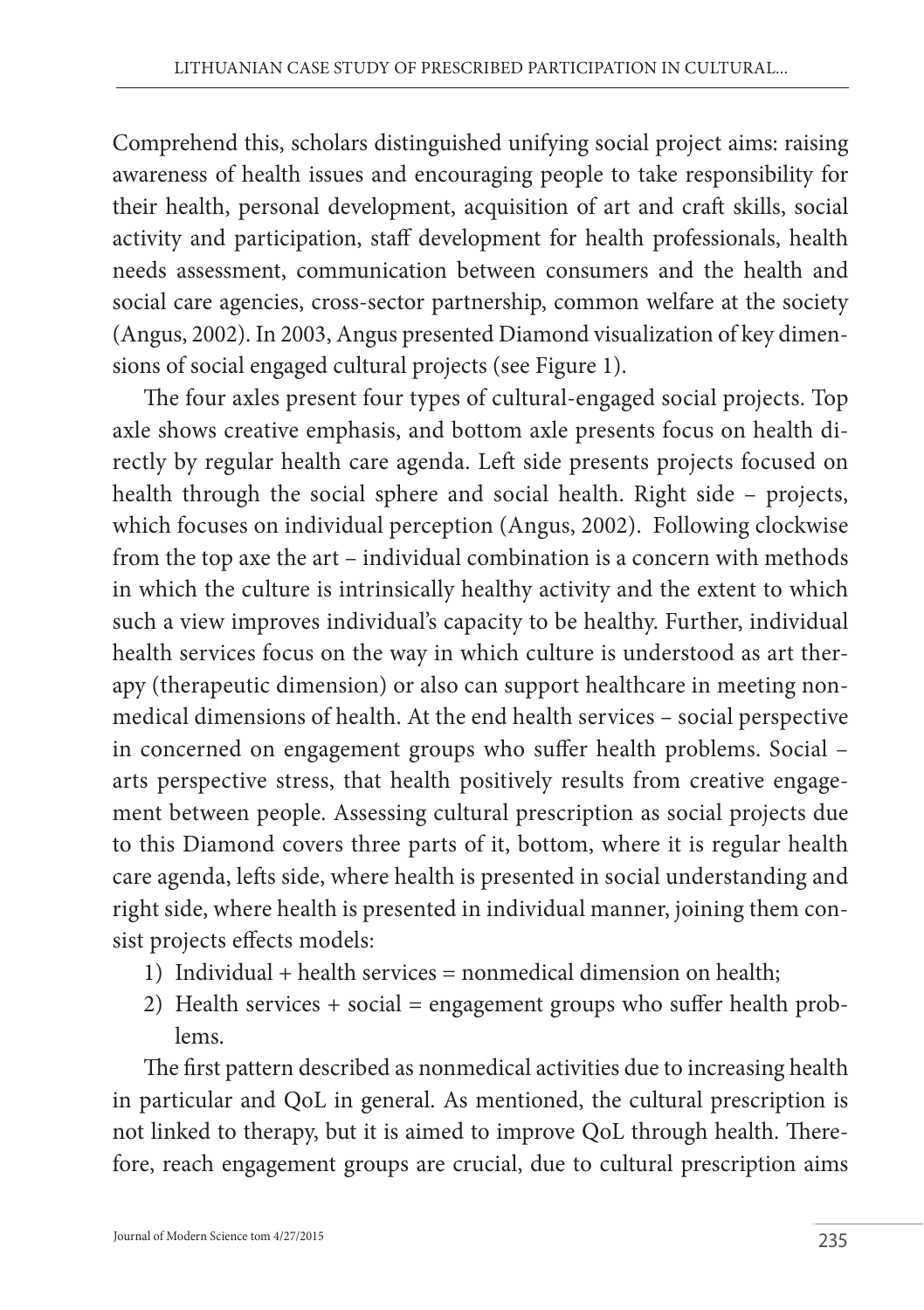Comprehend this, scholars distinguished unifying social project aims: raising awareness of health issues and encouraging people to take responsibility for their health, personal development, acquisition of art and craft skills, social activity and participation, staff development for health professionals, health needs assessment, communication between consumers and the health and social care agencies, cross-sector partnership, common welfare at the society (Angus, 2002). In 2003, Angus presented Diamond visualization of key dimensions of social engaged cultural projects (see Figure 1).

The four axles present four types of cultural-engaged social projects. Top axle shows creative emphasis, and bottom axle presents focus on health directly by regular health care agenda. Left side presents projects focused on health through the social sphere and social health. Right side – projects, which focuses on individual perception (Angus, 2002). Following clockwise from the top axe the art – individual combination is a concern with methods in which the culture is intrinsically healthy activity and the extent to which such a view improves individual's capacity to be healthy. Further, individual health services focus on the way in which culture is understood as art therapy (therapeutic dimension) or also can support healthcare in meeting nonmedical dimensions of health. At the end health services – social perspective in concerned on engagement groups who suffer health problems. Social – arts perspective stress, that health positively results from creative engagement between people. Assessing cultural prescription as social projects due to this Diamond covers three parts of it, bottom, where it is regular health care agenda, lefts side, where health is presented in social understanding and right side, where health is presented in individual manner, joining them consist projects effects models:

- 1) Individual + health services = nonmedical dimension on health;
- 2) Health services + social = engagement groups who suffer health problems.

The first pattern described as nonmedical activities due to increasing health in particular and QoL in general. As mentioned, the cultural prescription is not linked to therapy, but it is aimed to improve QoL through health. Therefore, reach engagement groups are crucial, due to cultural prescription aims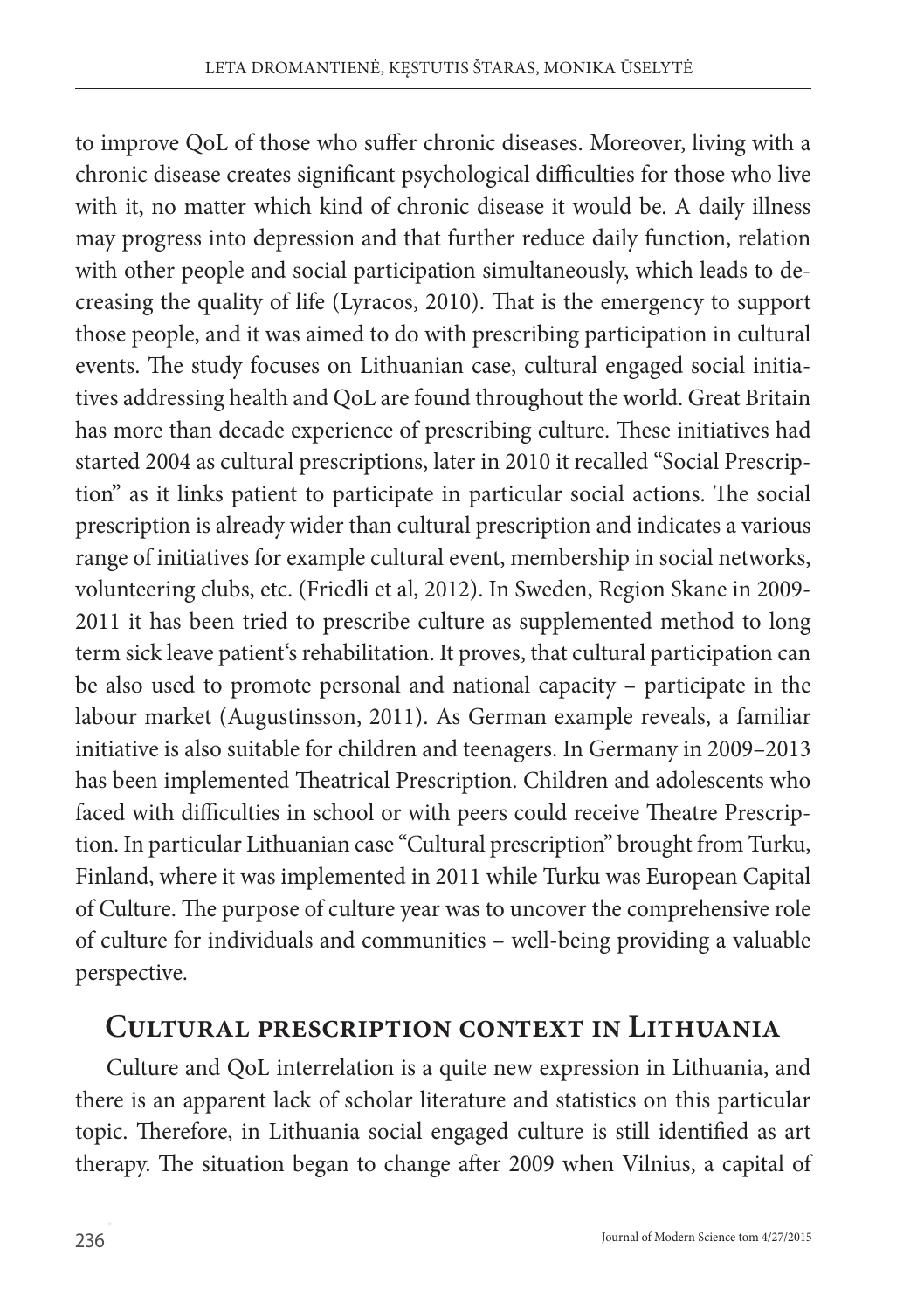to improve QoL of those who suffer chronic diseases. Moreover, living with a chronic disease creates significant psychological difficulties for those who live with it, no matter which kind of chronic disease it would be. A daily illness may progress into depression and that further reduce daily function, relation with other people and social participation simultaneously, which leads to decreasing the quality of life (Lyracos, 2010). That is the emergency to support those people, and it was aimed to do with prescribing participation in cultural events. The study focuses on Lithuanian case, cultural engaged social initiatives addressing health and QoL are found throughout the world. Great Britain has more than decade experience of prescribing culture. These initiatives had started 2004 as cultural prescriptions, later in 2010 it recalled "Social Prescription" as it links patient to participate in particular social actions. The social prescription is already wider than cultural prescription and indicates a various range of initiatives for example cultural event, membership in social networks, volunteering clubs, etc. (Friedli et al, 2012). In Sweden, Region Skane in 2009- 2011 it has been tried to prescribe culture as supplemented method to long term sick leave patient's rehabilitation. It proves, that cultural participation can be also used to promote personal and national capacity – participate in the labour market (Augustinsson, 2011). As German example reveals, a familiar initiative is also suitable for children and teenagers. In Germany in 2009–2013 has been implemented Theatrical Prescription. Children and adolescents who faced with difficulties in school or with peers could receive Theatre Prescription. In particular Lithuanian case "Cultural prescription" brought from Turku, Finland, where it was implemented in 2011 while Turku was European Capital of Culture. The purpose of culture year was to uncover the comprehensive role of culture for individuals and communities – well-being providing a valuable perspective.

### **Cultural prescription context in Lithuania**

Culture and QoL interrelation is a quite new expression in Lithuania, and there is an apparent lack of scholar literature and statistics on this particular topic. Therefore, in Lithuania social engaged culture is still identified as art therapy. The situation began to change after 2009 when Vilnius, a capital of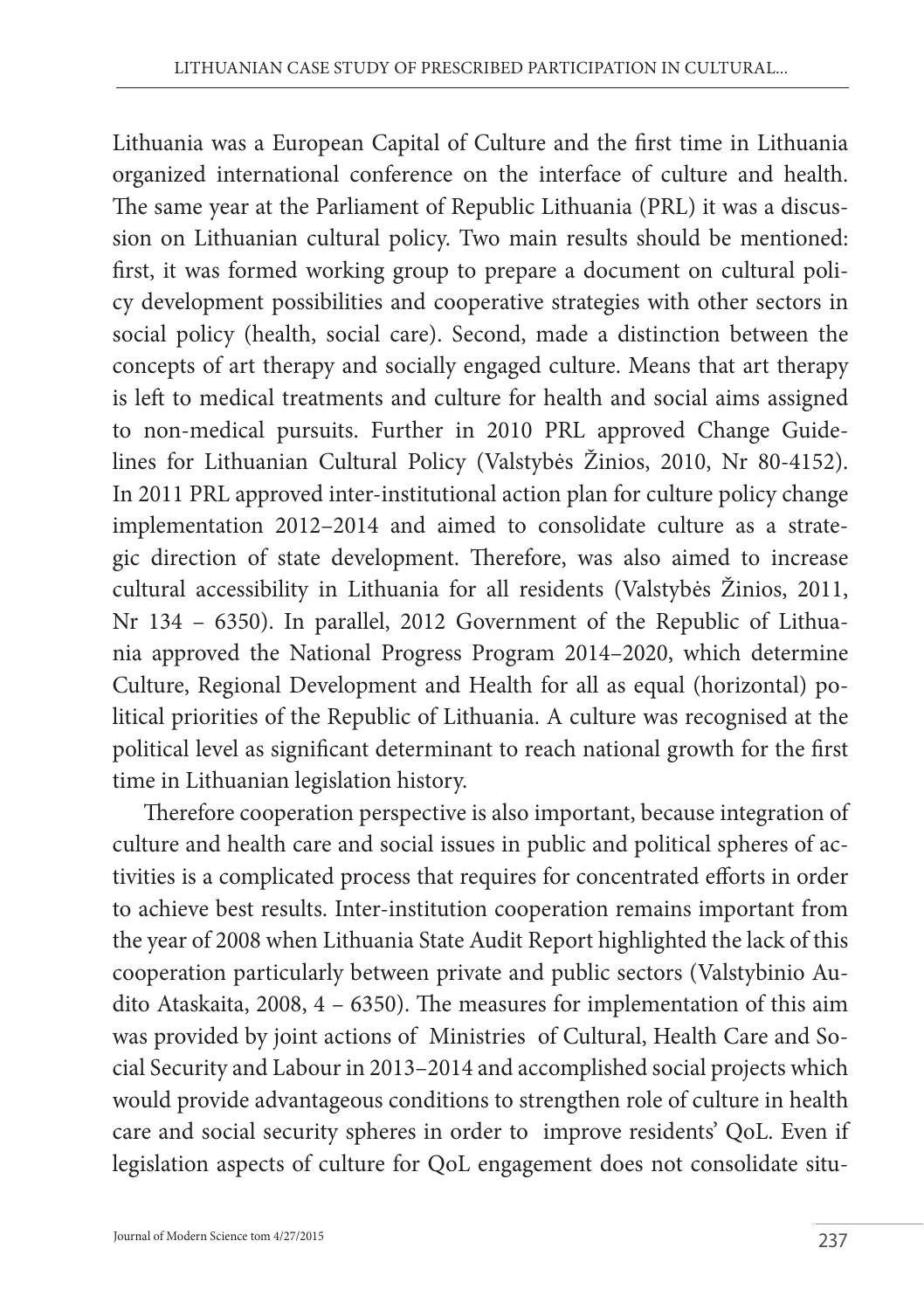Lithuania was a European Capital of Culture and the first time in Lithuania organized international conference on the interface of culture and health. The same year at the Parliament of Republic Lithuania (PRL) it was a discussion on Lithuanian cultural policy. Two main results should be mentioned: first, it was formed working group to prepare a document on cultural policy development possibilities and cooperative strategies with other sectors in social policy (health, social care). Second, made a distinction between the concepts of art therapy and socially engaged culture. Means that art therapy is left to medical treatments and culture for health and social aims assigned to non-medical pursuits. Further in 2010 PRL approved Change Guidelines for Lithuanian Cultural Policy (Valstybės Žinios, 2010, Nr 80-4152). In 2011 PRL approved inter-institutional action plan for culture policy change implementation 2012–2014 and aimed to consolidate culture as a strategic direction of state development. Therefore, was also aimed to increase cultural accessibility in Lithuania for all residents (Valstybės Žinios, 2011, Nr 134 – 6350). In parallel, 2012 Government of the Republic of Lithuania approved the National Progress Program 2014–2020, which determine Culture, Regional Development and Health for all as equal (horizontal) political priorities of the Republic of Lithuania. A culture was recognised at the political level as significant determinant to reach national growth for the first time in Lithuanian legislation history.

Therefore cooperation perspective is also important, because integration of culture and health care and social issues in public and political spheres of activities is a complicated process that requires for concentrated efforts in order to achieve best results. Inter-institution cooperation remains important from the year of 2008 when Lithuania State Audit Report highlighted the lack of this cooperation particularly between private and public sectors (Valstybinio Audito Ataskaita, 2008, 4 – 6350). The measures for implementation of this aim was provided by joint actions of Ministries of Cultural, Health Care and Social Security and Labour in 2013–2014 and accomplished social projects which would provide advantageous conditions to strengthen role of culture in health care and social security spheres in order to improve residents' QoL. Even if legislation aspects of culture for QoL engagement does not consolidate situ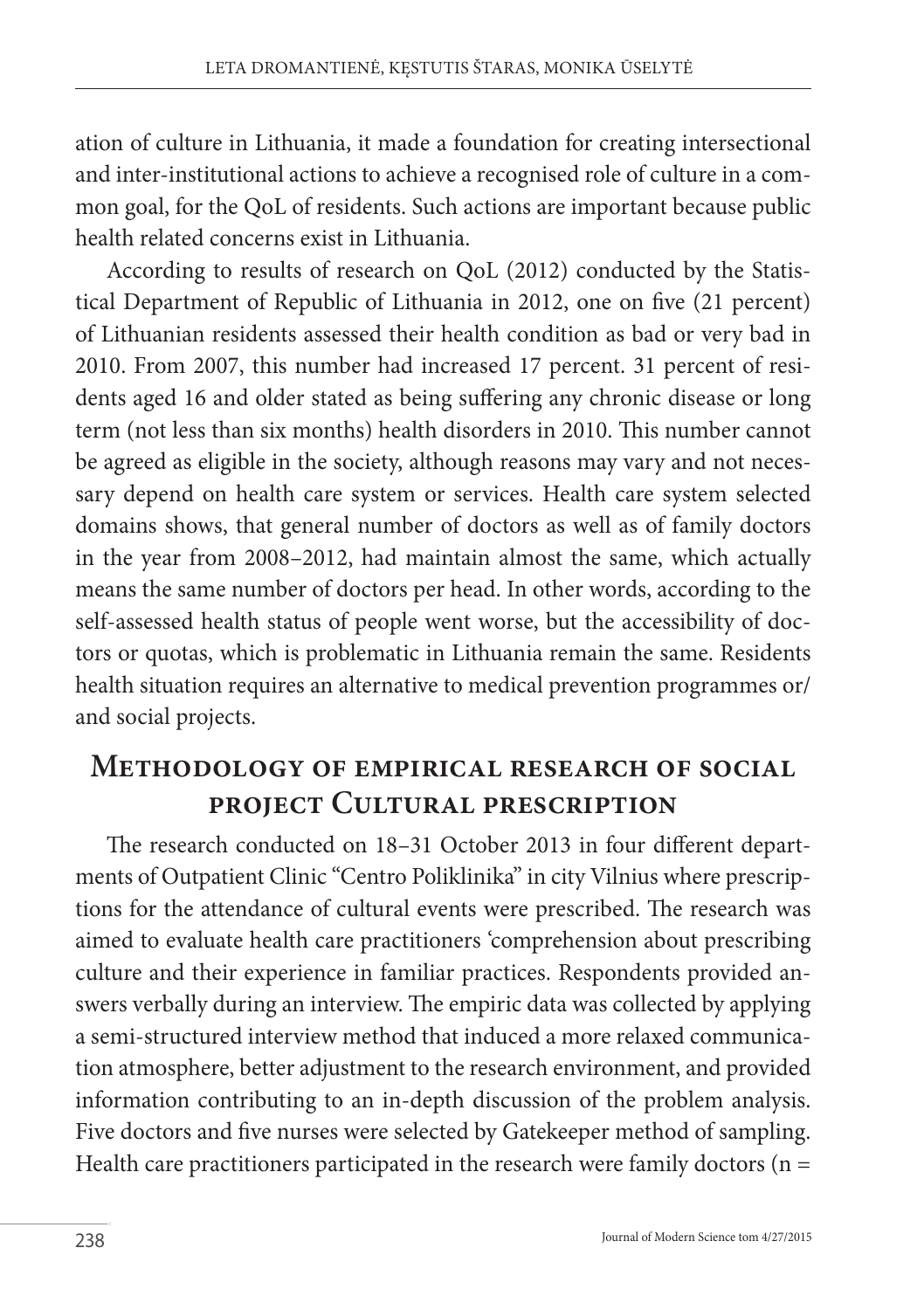ation of culture in Lithuania, it made a foundation for creating intersectional and inter-institutional actions to achieve a recognised role of culture in a common goal, for the QoL of residents. Such actions are important because public health related concerns exist in Lithuania.

According to results of research on QoL (2012) conducted by the Statistical Department of Republic of Lithuania in 2012, one on five (21 percent) of Lithuanian residents assessed their health condition as bad or very bad in 2010. From 2007, this number had increased 17 percent. 31 percent of residents aged 16 and older stated as being suffering any chronic disease or long term (not less than six months) health disorders in 2010. This number cannot be agreed as eligible in the society, although reasons may vary and not necessary depend on health care system or services. Health care system selected domains shows, that general number of doctors as well as of family doctors in the year from 2008–2012, had maintain almost the same, which actually means the same number of doctors per head. In other words, according to the self-assessed health status of people went worse, but the accessibility of doctors or quotas, which is problematic in Lithuania remain the same. Residents health situation requires an alternative to medical prevention programmes or/ and social projects.

# **Methodology of empirical research of social project Cultural prescription**

The research conducted on 18–31 October 2013 in four different departments of Outpatient Clinic "Centro Poliklinika" in city Vilnius where prescriptions for the attendance of cultural events were prescribed. The research was aimed to evaluate health care practitioners 'comprehension about prescribing culture and their experience in familiar practices. Respondents provided answers verbally during an interview. The empiric data was collected by applying a semi-structured interview method that induced a more relaxed communication atmosphere, better adjustment to the research environment, and provided information contributing to an in-depth discussion of the problem analysis. Five doctors and five nurses were selected by Gatekeeper method of sampling. Health care practitioners participated in the research were family doctors ( $n =$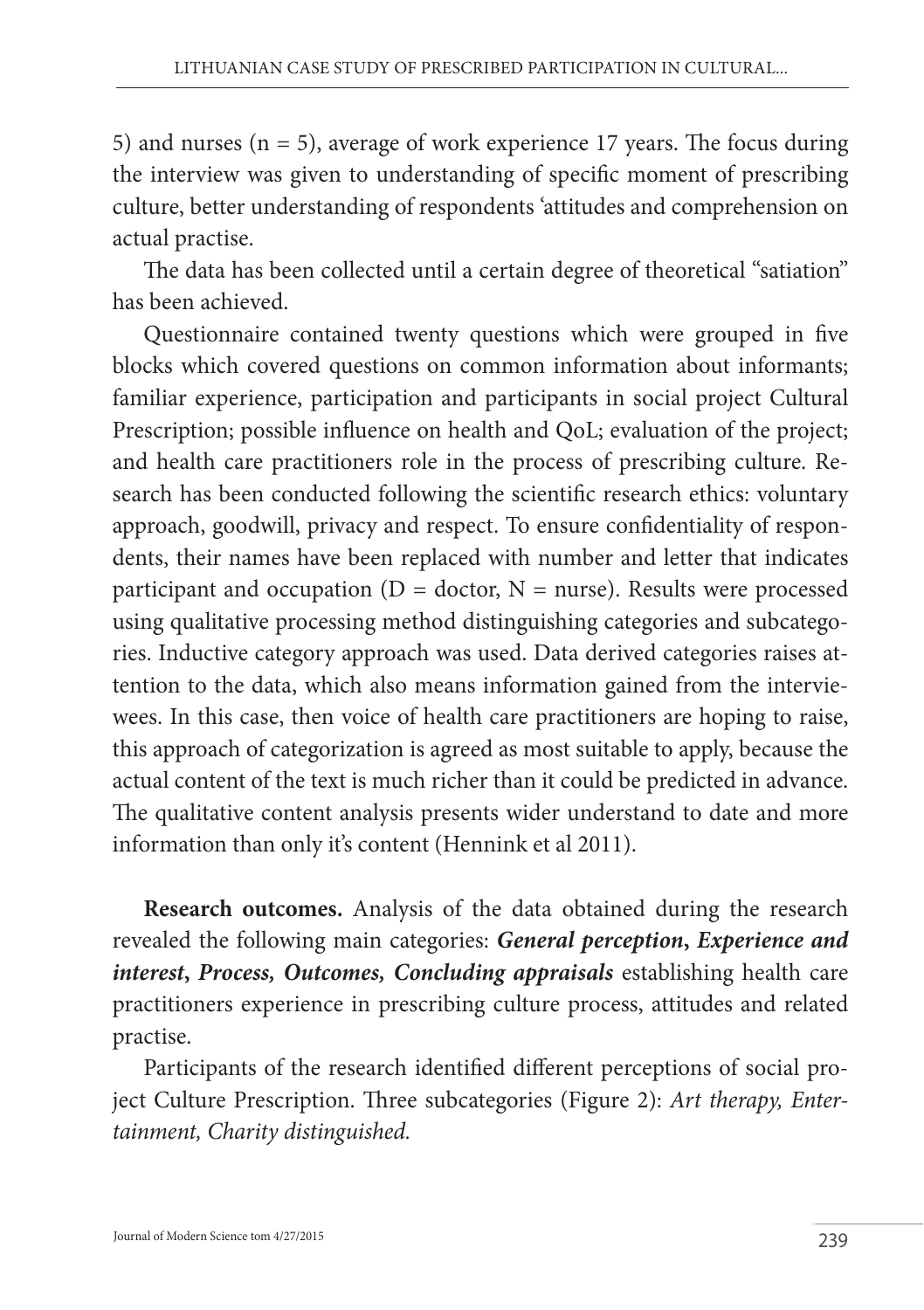5) and nurses  $(n = 5)$ , average of work experience 17 years. The focus during the interview was given to understanding of specific moment of prescribing culture, better understanding of respondents 'attitudes and comprehension on actual practise.

The data has been collected until a certain degree of theoretical "satiation" has been achieved.

Questionnaire contained twenty questions which were grouped in five blocks which covered questions on common information about informants; familiar experience, participation and participants in social project Cultural Prescription; possible influence on health and QoL; evaluation of the project; and health care practitioners role in the process of prescribing culture. Research has been conducted following the scientific research ethics: voluntary approach, goodwill, privacy and respect. To ensure confidentiality of respondents, their names have been replaced with number and letter that indicates participant and occupation ( $D =$  doctor,  $N =$  nurse). Results were processed using qualitative processing method distinguishing categories and subcategories. Inductive category approach was used. Data derived categories raises attention to the data, which also means information gained from the interviewees. In this case, then voice of health care practitioners are hoping to raise, this approach of categorization is agreed as most suitable to apply, because the actual content of the text is much richer than it could be predicted in advance. The qualitative content analysis presents wider understand to date and more information than only it's content (Hennink et al 2011).

**Research outcomes.** Analysis of the data obtained during the research revealed the following main categories: *General perception***,** *Experience and interest***,** *Process, Outcomes, Concluding appraisals* establishing health care practitioners experience in prescribing culture process, attitudes and related practise.

Participants of the research identified different perceptions of social project Culture Prescription. Three subcategories (Figure 2): *Art therapy, Entertainment, Charity distinguished.*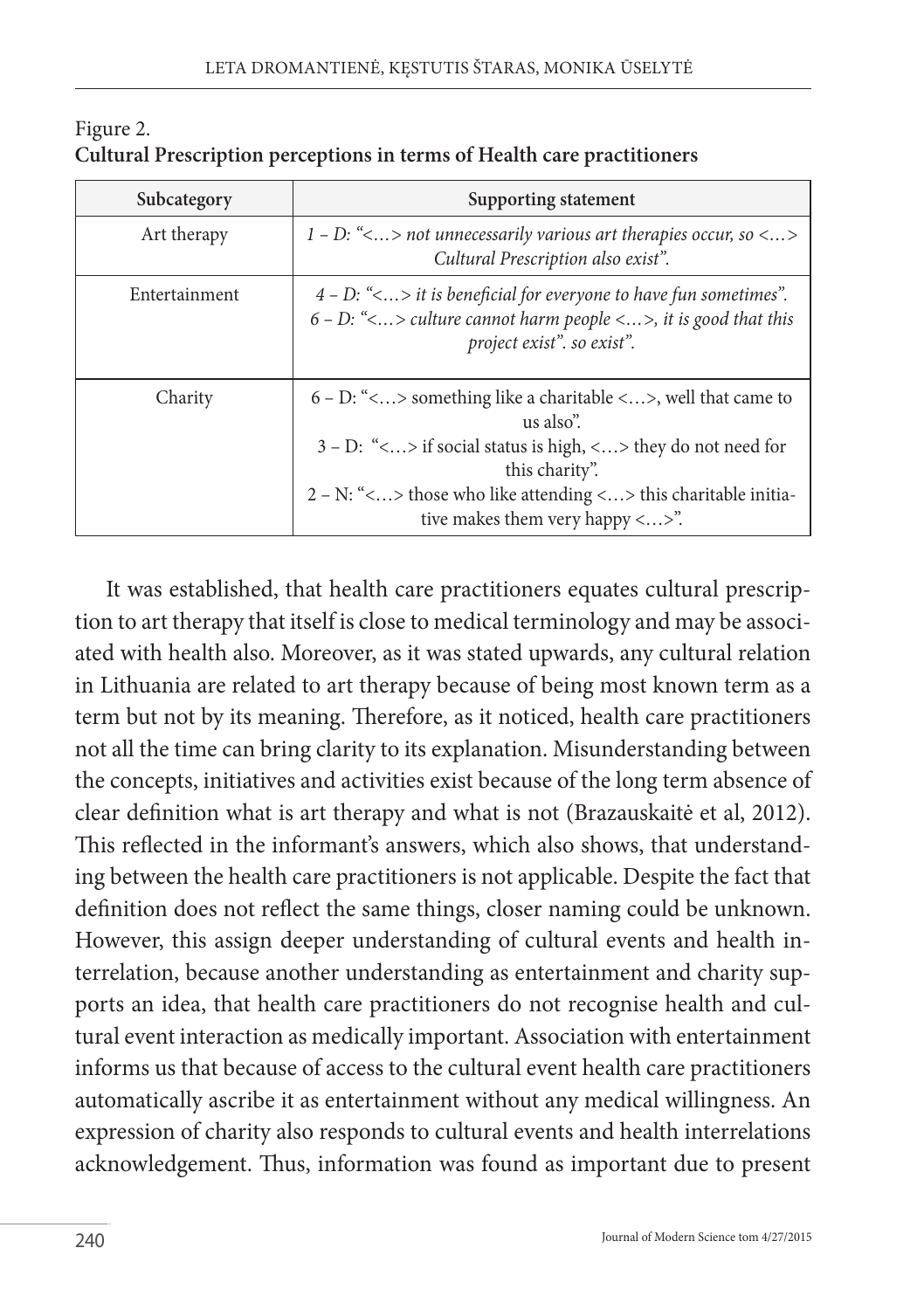| Subcategory   | Supporting statement                                                                                                                                                                                                                                                      |
|---------------|---------------------------------------------------------------------------------------------------------------------------------------------------------------------------------------------------------------------------------------------------------------------------|
| Art therapy   | 1 – D: $\leq$ > not unnecessarily various art therapies occur, so $\leq$ ><br>Cultural Prescription also exist".                                                                                                                                                          |
| Entertainment | $4 - D$ : "< > it is beneficial for everyone to have fun sometimes".<br>$6 - D$ : "<> culture cannot harm people <>, it is good that this<br>project exist", so exist".                                                                                                   |
| Charity       | $6 - D$ : "<> something like a charitable <>, well that came to<br>us also".<br>$3 - D$ : "<> if social status is high, <> they do not need for<br>this charity".<br>$2 - N$ : "<> those who like attending <> this charitable initia-<br>tive makes them very happy <>". |

Figure 2. **Cultural Prescription perceptions in terms of Health care practitioners**

It was established, that health care practitioners equates cultural prescription to art therapy that itself is close to medical terminology and may be associated with health also. Moreover, as it was stated upwards, any cultural relation in Lithuania are related to art therapy because of being most known term as a term but not by its meaning. Therefore, as it noticed, health care practitioners not all the time can bring clarity to its explanation. Misunderstanding between the concepts, initiatives and activities exist because of the long term absence of clear definition what is art therapy and what is not (Brazauskaitė et al, 2012). This reflected in the informant's answers, which also shows, that understanding between the health care practitioners is not applicable. Despite the fact that definition does not reflect the same things, closer naming could be unknown. However, this assign deeper understanding of cultural events and health interrelation, because another understanding as entertainment and charity supports an idea, that health care practitioners do not recognise health and cultural event interaction as medically important. Association with entertainment informs us that because of access to the cultural event health care practitioners automatically ascribe it as entertainment without any medical willingness. An expression of charity also responds to cultural events and health interrelations acknowledgement. Thus, information was found as important due to present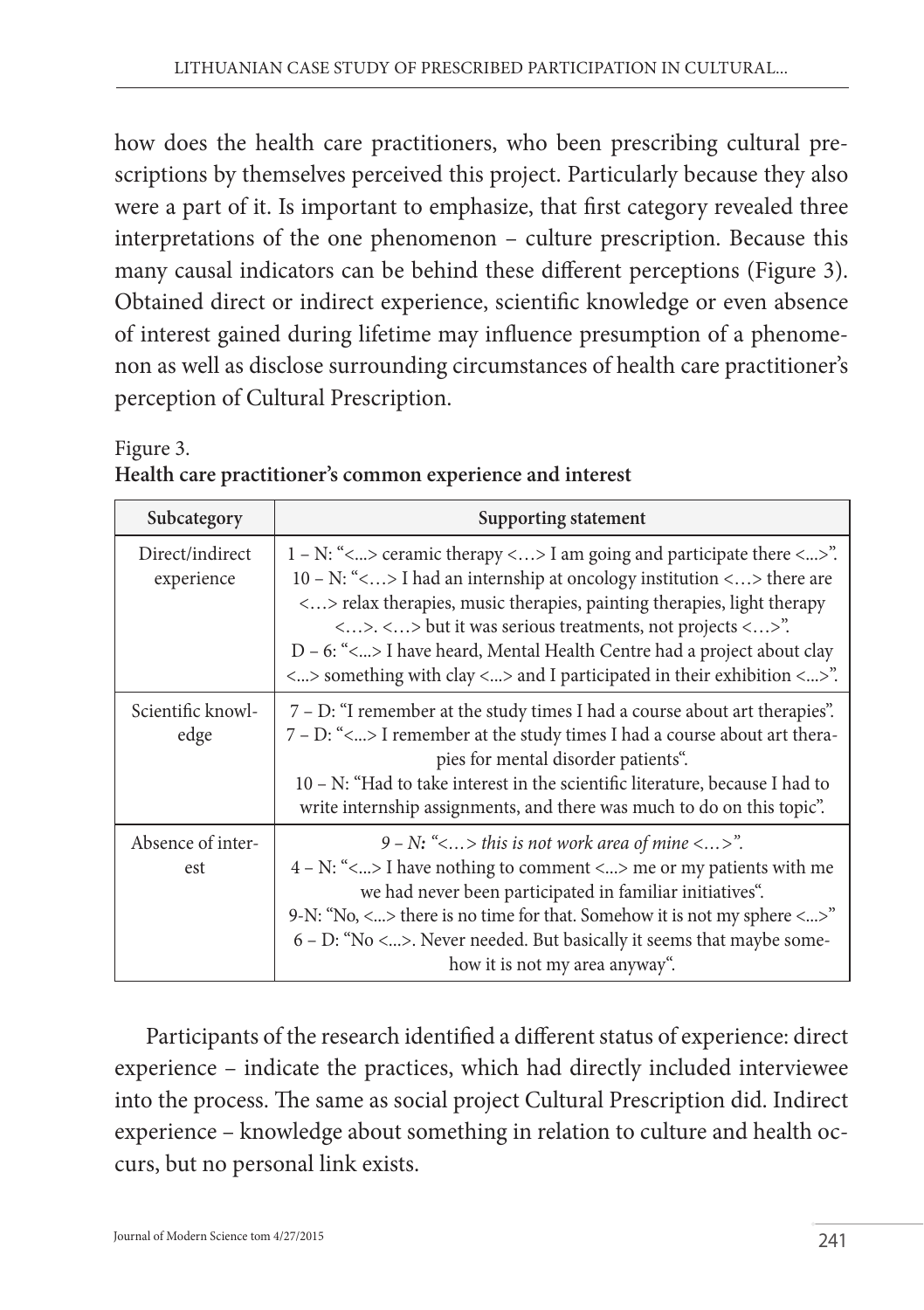how does the health care practitioners, who been prescribing cultural prescriptions by themselves perceived this project. Particularly because they also were a part of it. Is important to emphasize, that first category revealed three interpretations of the one phenomenon – culture prescription. Because this many causal indicators can be behind these different perceptions (Figure 3). Obtained direct or indirect experience, scientific knowledge or even absence of interest gained during lifetime may influence presumption of a phenomenon as well as disclose surrounding circumstances of health care practitioner's perception of Cultural Prescription.

| Figure 3.                                                 |  |
|-----------------------------------------------------------|--|
| Health care practitioner's common experience and interest |  |

| Subcategory                   | Supporting statement                                                                                                                                                                                                                                                                                                                                                                                                                                                                                         |
|-------------------------------|--------------------------------------------------------------------------------------------------------------------------------------------------------------------------------------------------------------------------------------------------------------------------------------------------------------------------------------------------------------------------------------------------------------------------------------------------------------------------------------------------------------|
| Direct/indirect<br>experience | $1 - N$ : "<> ceramic therapy <> I am going and participate there <>".<br>10 - N: "<> I had an internship at oncology institution <> there are<br><> relax therapies, music therapies, painting therapies, light therapy<br>$\langle \ldots \rangle$ , $\langle \ldots \rangle$ but it was serious treatments, not projects $\langle \ldots \rangle$ .<br>$D - 6$ : "<> I have heard, Mental Health Centre had a project about clay<br><> something with clay <> and I participated in their exhibition <>". |
| Scientific knowl-<br>edge     | 7 – D: "I remember at the study times I had a course about art therapies".<br>7 – D: "<> I remember at the study times I had a course about art thera-<br>pies for mental disorder patients".<br>10 – N: "Had to take interest in the scientific literature, because I had to<br>write internship assignments, and there was much to do on this topic".                                                                                                                                                      |
| Absence of inter-<br>est      | $9 - N$ : "<> this is not work area of mine <>".<br>$4 - N$ : "<> I have nothing to comment <> me or my patients with me<br>we had never been participated in familiar initiatives".<br>9-N: "No, $\langle  \rangle$ there is no time for that. Somehow it is not my sphere $\langle  \rangle$ "<br>$6 - D$ : "No <>. Never needed. But basically it seems that maybe some-<br>how it is not my area anyway".                                                                                                |

Participants of the research identified a different status of experience: direct experience – indicate the practices, which had directly included interviewee into the process. The same as social project Cultural Prescription did. Indirect experience – knowledge about something in relation to culture and health occurs, but no personal link exists.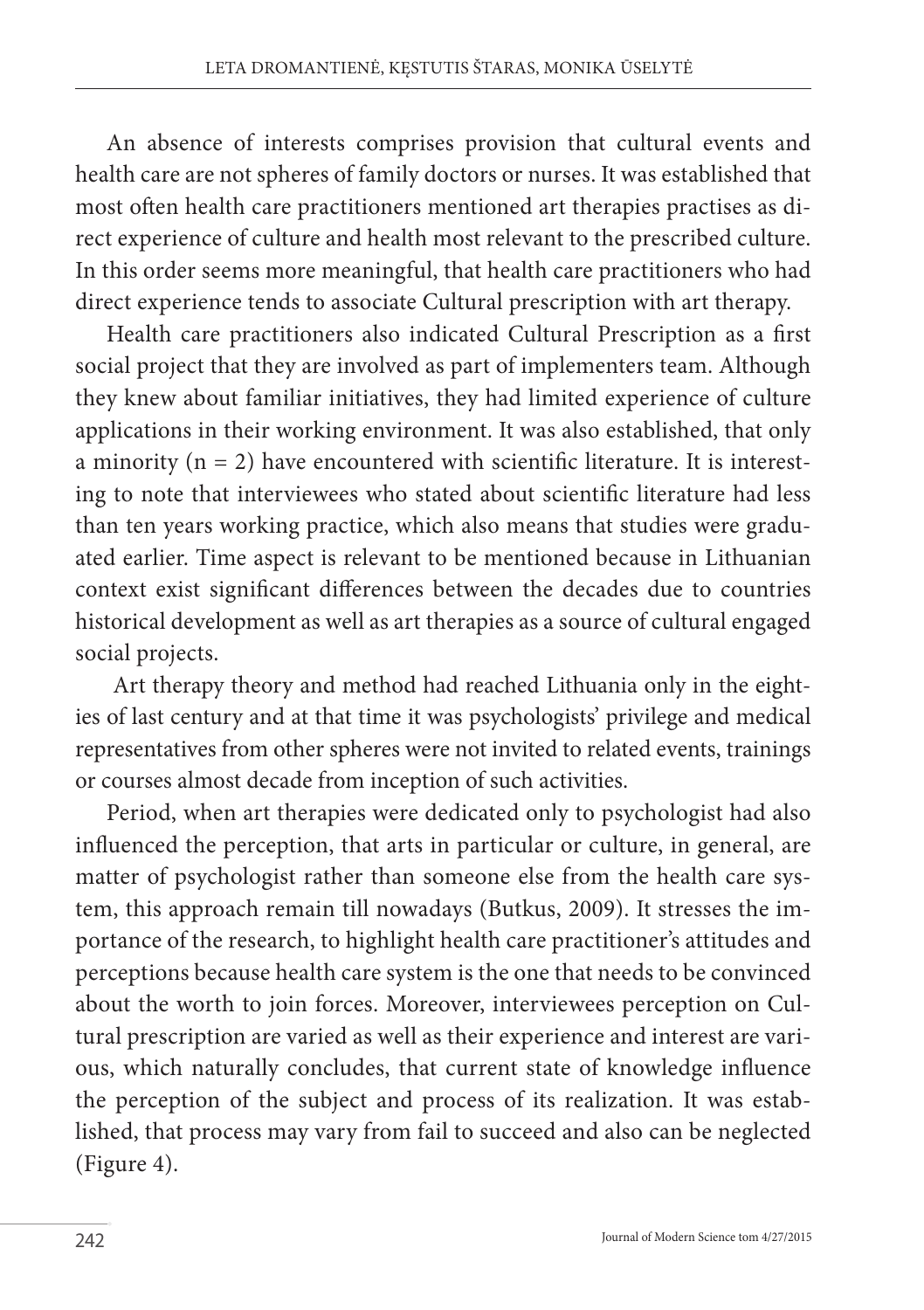An absence of interests comprises provision that cultural events and health care are not spheres of family doctors or nurses. It was established that most often health care practitioners mentioned art therapies practises as direct experience of culture and health most relevant to the prescribed culture. In this order seems more meaningful, that health care practitioners who had direct experience tends to associate Cultural prescription with art therapy.

Health care practitioners also indicated Cultural Prescription as a first social project that they are involved as part of implementers team. Although they knew about familiar initiatives, they had limited experience of culture applications in their working environment. It was also established, that only a minority ( $n = 2$ ) have encountered with scientific literature. It is interesting to note that interviewees who stated about scientific literature had less than ten years working practice, which also means that studies were graduated earlier. Time aspect is relevant to be mentioned because in Lithuanian context exist significant differences between the decades due to countries historical development as well as art therapies as a source of cultural engaged social projects.

 Art therapy theory and method had reached Lithuania only in the eighties of last century and at that time it was psychologists' privilege and medical representatives from other spheres were not invited to related events, trainings or courses almost decade from inception of such activities.

Period, when art therapies were dedicated only to psychologist had also influenced the perception, that arts in particular or culture, in general, are matter of psychologist rather than someone else from the health care system, this approach remain till nowadays (Butkus, 2009). It stresses the importance of the research, to highlight health care practitioner's attitudes and perceptions because health care system is the one that needs to be convinced about the worth to join forces. Moreover, interviewees perception on Cultural prescription are varied as well as their experience and interest are various, which naturally concludes, that current state of knowledge influence the perception of the subject and process of its realization. It was established, that process may vary from fail to succeed and also can be neglected (Figure 4).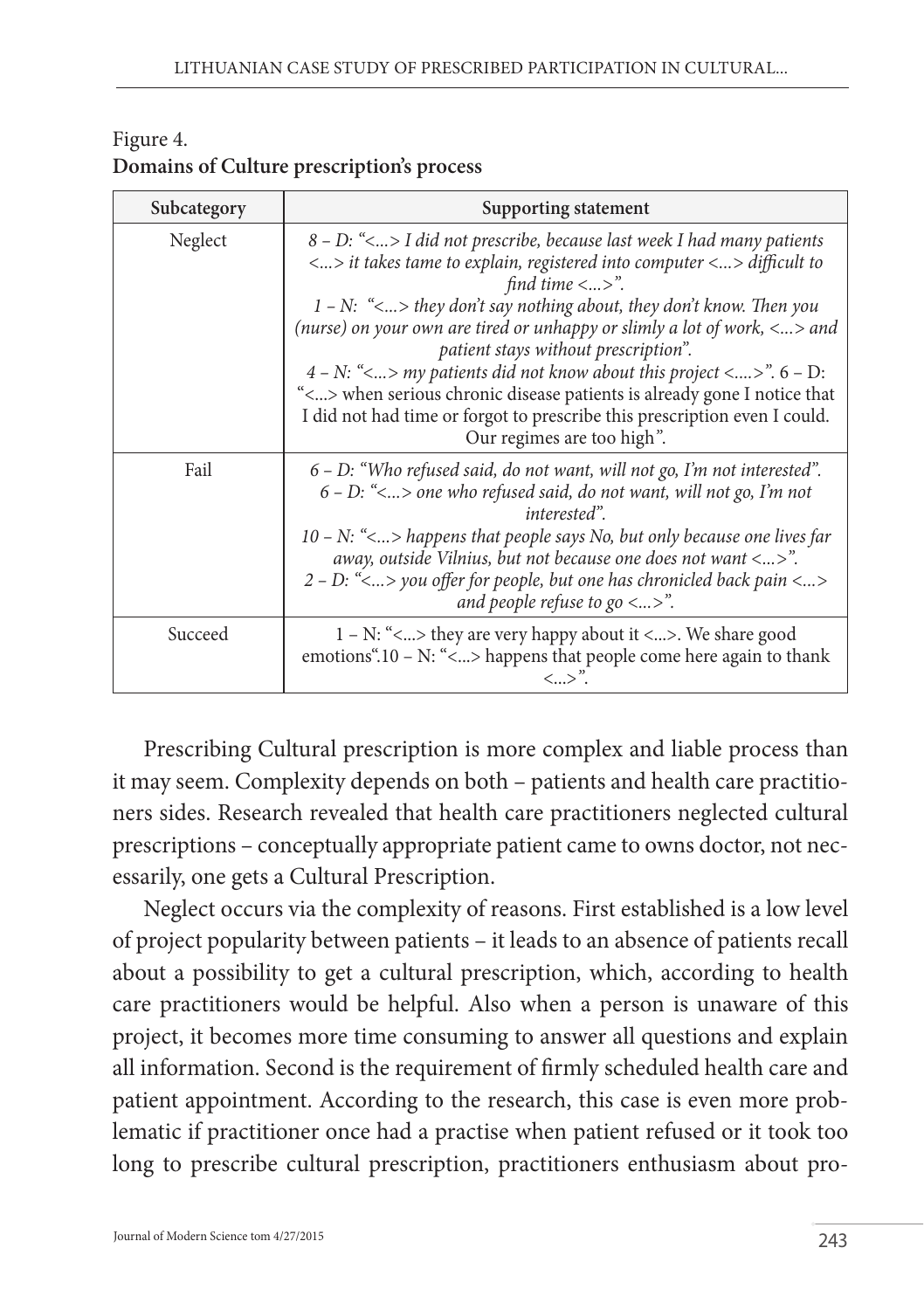| Subcategory | Supporting statement                                                                                                                                                                                                                                                                                                                                                                                                                                                                                                                                                                                                                                                                                             |
|-------------|------------------------------------------------------------------------------------------------------------------------------------------------------------------------------------------------------------------------------------------------------------------------------------------------------------------------------------------------------------------------------------------------------------------------------------------------------------------------------------------------------------------------------------------------------------------------------------------------------------------------------------------------------------------------------------------------------------------|
| Neglect     | $8$ – D: $\leq$ $\ldots$ > I did not prescribe, because last week I had many patients<br>$\langle  \rangle$ it takes tame to explain, registered into computer $\langle  \rangle$ difficult to<br>find time $\langle  \rangle$ ".<br>$1 - N$ : "<> they don't say nothing about, they don't know. Then you<br>(nurse) on your own are tired or unhappy or slimly a lot of work, $\langle  \rangle$ and<br>patient stays without prescription".<br>$4 - N$ : "<> my patients did not know about this project <>". $6 - D$ :<br>"<> when serious chronic disease patients is already gone I notice that<br>I did not had time or forgot to prescribe this prescription even I could.<br>Our regimes are too high". |
| Fail        | $6$ – D: "Who refused said, do not want, will not go, I'm not interested".<br>$6$ – D: $\ll$ > one who refused said, do not want, will not go, I'm not<br>interested".<br>10 – N: " $\lt$ happens that people says No, but only because one lives far<br>away, outside Vilnius, but not because one does not want $\langle  \rangle$ .<br>2 – D: "<> you offer for people, but one has chronicled back pain <><br>and people refuse to go $\langle  \rangle$ .                                                                                                                                                                                                                                                   |
| Succeed     | 1 - N: "<> they are very happy about it <>. We share good<br>emotions".10 – N: "<> happens that people come here again to thank<br>$\langle  \rangle$ ".                                                                                                                                                                                                                                                                                                                                                                                                                                                                                                                                                         |

#### Figure 4. **Domains of Culture prescription's process**

Prescribing Cultural prescription is more complex and liable process than it may seem. Complexity depends on both – patients and health care practitioners sides. Research revealed that health care practitioners neglected cultural prescriptions – conceptually appropriate patient came to owns doctor, not necessarily, one gets a Cultural Prescription.

Neglect occurs via the complexity of reasons. First established is a low level of project popularity between patients – it leads to an absence of patients recall about a possibility to get a cultural prescription, which, according to health care practitioners would be helpful. Also when a person is unaware of this project, it becomes more time consuming to answer all questions and explain all information. Second is the requirement of firmly scheduled health care and patient appointment. According to the research, this case is even more problematic if practitioner once had a practise when patient refused or it took too long to prescribe cultural prescription, practitioners enthusiasm about pro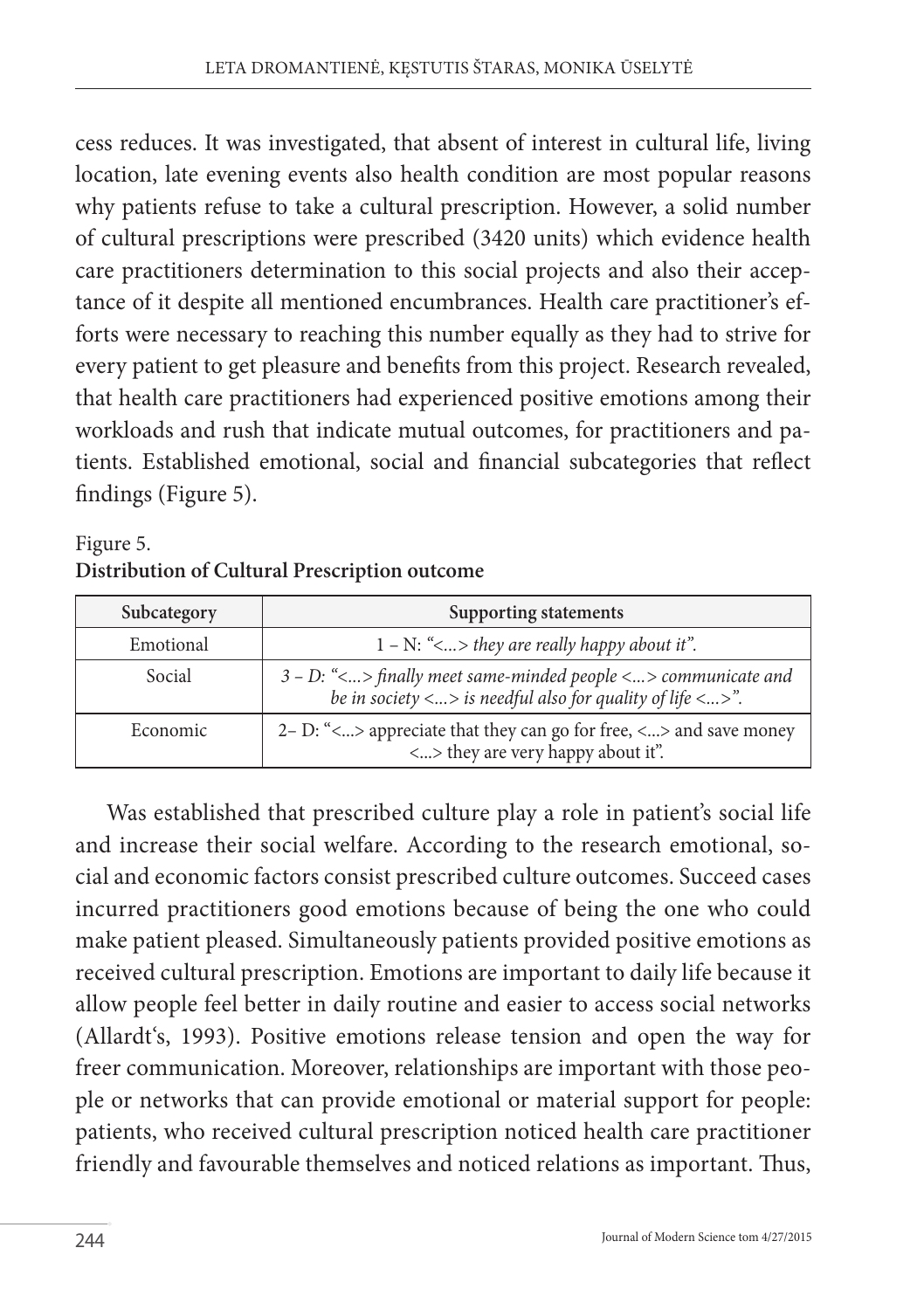cess reduces. It was investigated, that absent of interest in cultural life, living location, late evening events also health condition are most popular reasons why patients refuse to take a cultural prescription. However, a solid number of cultural prescriptions were prescribed (3420 units) which evidence health care practitioners determination to this social projects and also their acceptance of it despite all mentioned encumbrances. Health care practitioner's efforts were necessary to reaching this number equally as they had to strive for every patient to get pleasure and benefits from this project. Research revealed, that health care practitioners had experienced positive emotions among their workloads and rush that indicate mutual outcomes, for practitioners and patients. Established emotional, social and financial subcategories that reflect findings (Figure 5).

### Figure 5. **Distribution of Cultural Prescription outcome**

| Subcategory | Supporting statements                                                                                                                                         |
|-------------|---------------------------------------------------------------------------------------------------------------------------------------------------------------|
| Emotional   | $1 - N$ : "<> they are really happy about it".                                                                                                                |
| Social      | $3 - D$ : "<> finally meet same-minded people <> communicate and<br>be in society $\langle  \rangle$ is needful also for quality of life $\langle  \rangle$ . |
| Economic    | 2– D: " $\langle  \rangle$ appreciate that they can go for free, $\langle  \rangle$ and save money<br><> they are very happy about it".                       |

Was established that prescribed culture play a role in patient's social life and increase their social welfare. According to the research emotional, social and economic factors consist prescribed culture outcomes. Succeed cases incurred practitioners good emotions because of being the one who could make patient pleased. Simultaneously patients provided positive emotions as received cultural prescription. Emotions are important to daily life because it allow people feel better in daily routine and easier to access social networks (Allardt's, 1993). Positive emotions release tension and open the way for freer communication. Moreover, relationships are important with those people or networks that can provide emotional or material support for people: patients, who received cultural prescription noticed health care practitioner friendly and favourable themselves and noticed relations as important. Thus,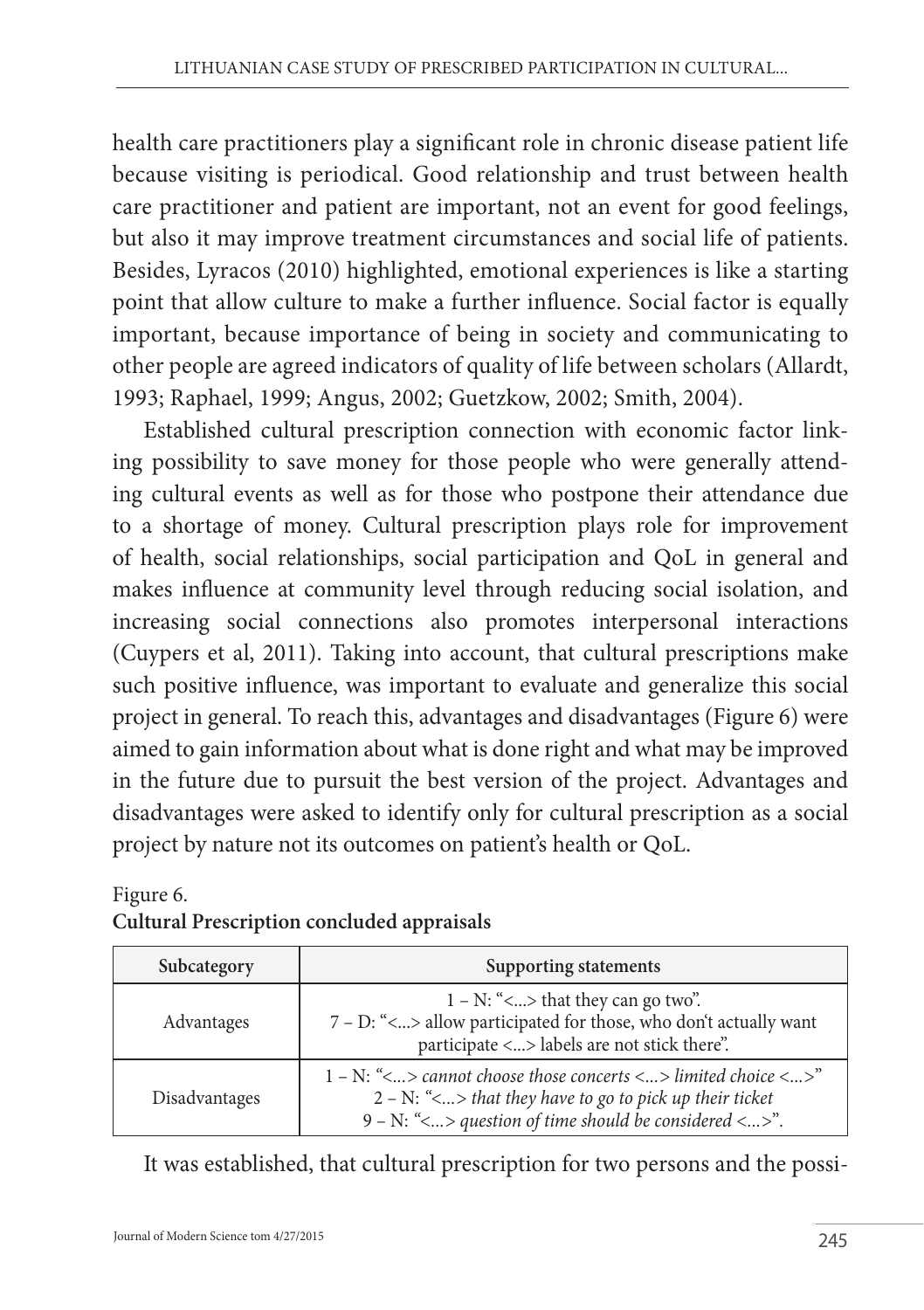health care practitioners play a significant role in chronic disease patient life because visiting is periodical. Good relationship and trust between health care practitioner and patient are important, not an event for good feelings, but also it may improve treatment circumstances and social life of patients. Besides, Lyracos (2010) highlighted, emotional experiences is like a starting point that allow culture to make a further influence. Social factor is equally important, because importance of being in society and communicating to other people are agreed indicators of quality of life between scholars (Allardt, 1993; Raphael, 1999; Angus, 2002; Guetzkow, 2002; Smith, 2004).

Established cultural prescription connection with economic factor linking possibility to save money for those people who were generally attending cultural events as well as for those who postpone their attendance due to a shortage of money. Cultural prescription plays role for improvement of health, social relationships, social participation and QoL in general and makes influence at community level through reducing social isolation, and increasing social connections also promotes interpersonal interactions (Cuypers et al, 2011). Taking into account, that cultural prescriptions make such positive influence, was important to evaluate and generalize this social project in general. To reach this, advantages and disadvantages (Figure 6) were aimed to gain information about what is done right and what may be improved in the future due to pursuit the best version of the project. Advantages and disadvantages were asked to identify only for cultural prescription as a social project by nature not its outcomes on patient's health or QoL.

### Figure 6. **Cultural Prescription concluded appraisals**

| Subcategory   | Supporting statements                                                                                                                                                                                                                       |
|---------------|---------------------------------------------------------------------------------------------------------------------------------------------------------------------------------------------------------------------------------------------|
| Advantages    | $1 - N$ : "<> that they can go two".<br>7 - D: "<> allow participated for those, who don't actually want<br>participate <> labels are not stick there".                                                                                     |
| Disadvantages | 1 – N: " $\langle  \rangle$ cannot choose those concerts $\langle  \rangle$ limited choice $\langle  \rangle$ "<br>$2 - N$ : "<> that they have to go to pick up their ticket<br>$9 - N$ : "< > question of time should be considered < >". |

It was established, that cultural prescription for two persons and the possi-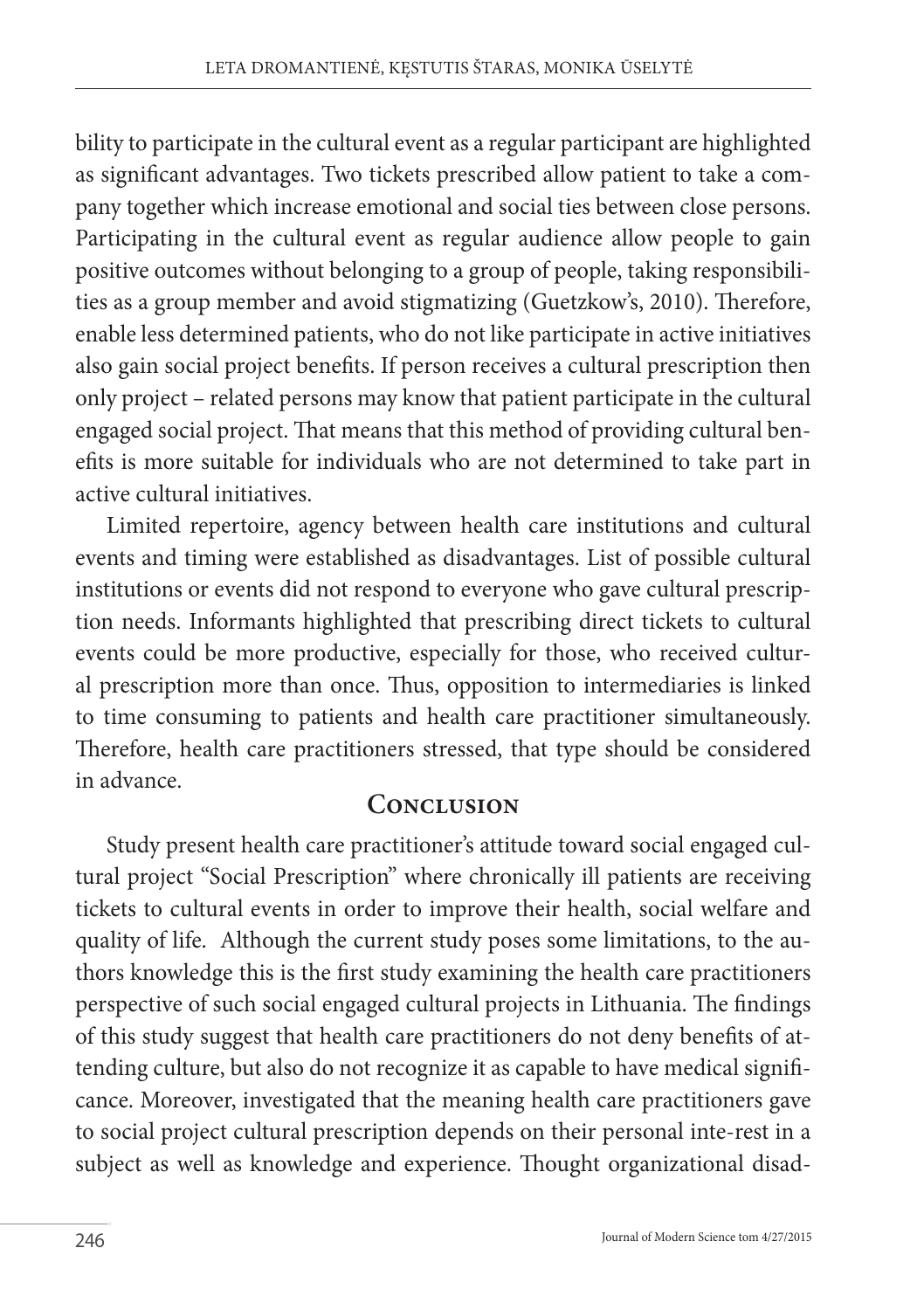bility to participate in the cultural event as a regular participant are highlighted as significant advantages. Two tickets prescribed allow patient to take a company together which increase emotional and social ties between close persons. Participating in the cultural event as regular audience allow people to gain positive outcomes without belonging to a group of people, taking responsibilities as a group member and avoid stigmatizing (Guetzkow's, 2010). Therefore, enable less determined patients, who do not like participate in active initiatives also gain social project benefits. If person receives a cultural prescription then only project – related persons may know that patient participate in the cultural engaged social project. That means that this method of providing cultural benefits is more suitable for individuals who are not determined to take part in active cultural initiatives.

Limited repertoire, agency between health care institutions and cultural events and timing were established as disadvantages. List of possible cultural institutions or events did not respond to everyone who gave cultural prescription needs. Informants highlighted that prescribing direct tickets to cultural events could be more productive, especially for those, who received cultural prescription more than once. Thus, opposition to intermediaries is linked to time consuming to patients and health care practitioner simultaneously. Therefore, health care practitioners stressed, that type should be considered in advance.

### **CONCLUSION**

Study present health care practitioner's attitude toward social engaged cultural project "Social Prescription" where chronically ill patients are receiving tickets to cultural events in order to improve their health, social welfare and quality of life. Although the current study poses some limitations, to the authors knowledge this is the first study examining the health care practitioners perspective of such social engaged cultural projects in Lithuania. The findings of this study suggest that health care practitioners do not deny benefits of attending culture, but also do not recognize it as capable to have medical significance. Moreover, investigated that the meaning health care practitioners gave to social project cultural prescription depends on their personal inte-rest in a subject as well as knowledge and experience. Thought organizational disad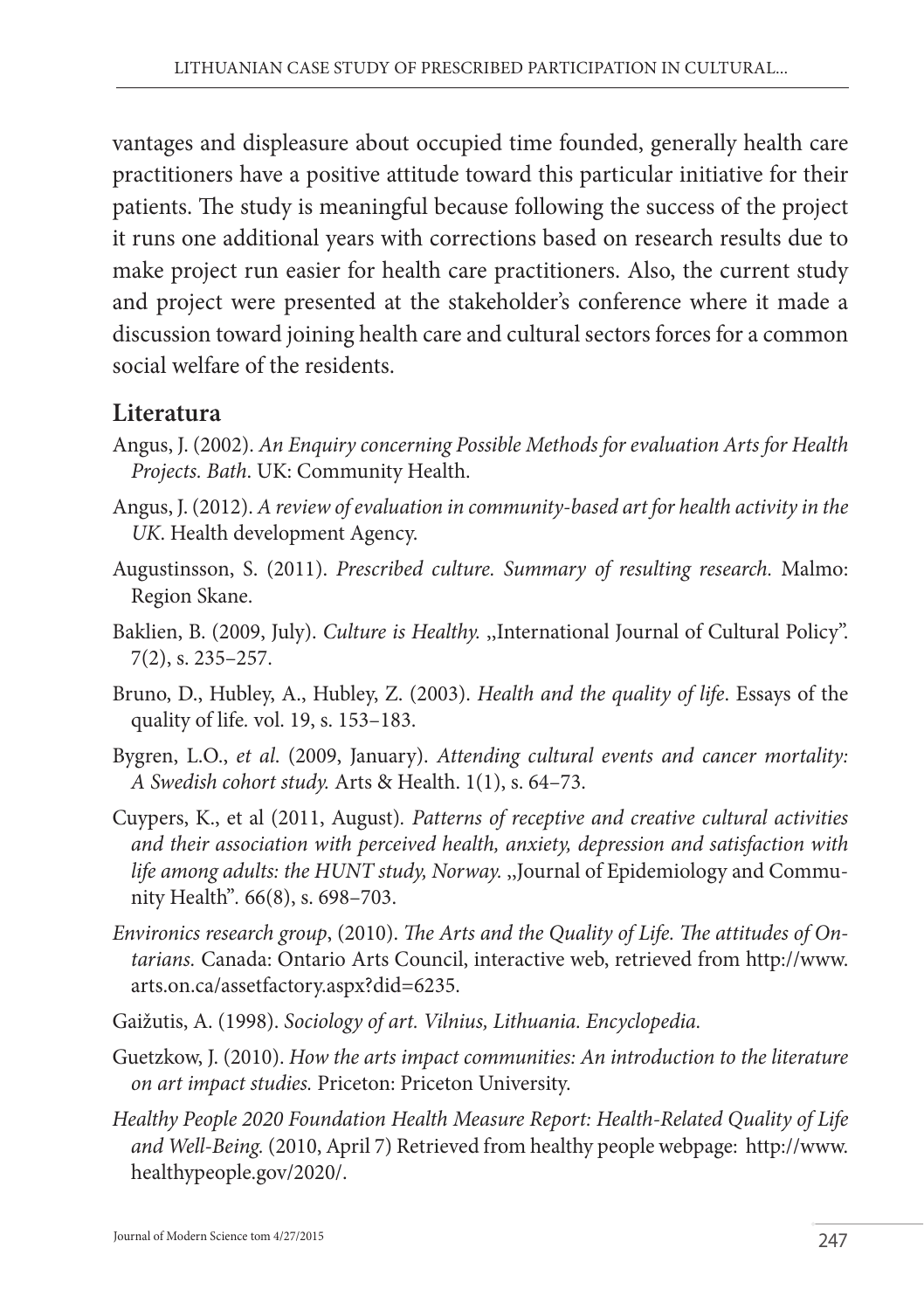vantages and displeasure about occupied time founded, generally health care practitioners have a positive attitude toward this particular initiative for their patients. The study is meaningful because following the success of the project it runs one additional years with corrections based on research results due to make project run easier for health care practitioners. Also, the current study and project were presented at the stakeholder's conference where it made a discussion toward joining health care and cultural sectors forces for a common social welfare of the residents.

### **Literatura**

- Angus, J. (2002). *An Enquiry concerning Possible Methods for evaluation Arts for Health Projects. Bath*. UK: Community Health.
- Angus, J. (2012). *A review of evaluation in community-based art for health activity in the UK*. Health development Agency.
- Augustinsson, S. (2011). *Prescribed culture. Summary of resulting research.* Malmo: Region Skane.
- Baklien, B. (2009, July). *Culture is Healthy.* ,,International Journal of Cultural Policy". 7(2), s. 235–257.
- Bruno, D., Hubley, A., Hubley, Z. (2003). *Health and the quality of life*. Essays of the quality of life*.* vol. 19, s. 153–183.
- Bygren, L.O., *et al*. (2009, January). *Attending cultural events and cancer mortality: A Swedish cohort study.* Arts & Health. 1(1), s. 64–73.
- Cuypers, K., et al (2011, August)*. Patterns of receptive and creative cultural activities and their association with perceived health, anxiety, depression and satisfaction with life among adults: the HUNT study, Norway.* ,,Journal of Epidemiology and Community Health"*.* 66(8), s. 698–703.
- *Environics research group*, (2010). *The Arts and the Quality of Life. The attitudes of Ontarians.* Canada: Ontario Arts Council, interactive web, retrieved from http://www. arts.on.ca/assetfactory.aspx?did=6235.
- Gaižutis, A. (1998). *Sociology of art. Vilnius, Lithuania. Encyclopedia.*
- Guetzkow, J. (2010). *How the arts impact communities: An introduction to the literature on art impact studies.* Priceton: Priceton University.
- *Healthy People 2020 Foundation Health Measure Report: Health-Related Quality of Life and Well-Being.* (2010, April 7) Retrieved from healthy people webpage: http://www. healthypeople.gov/2020/.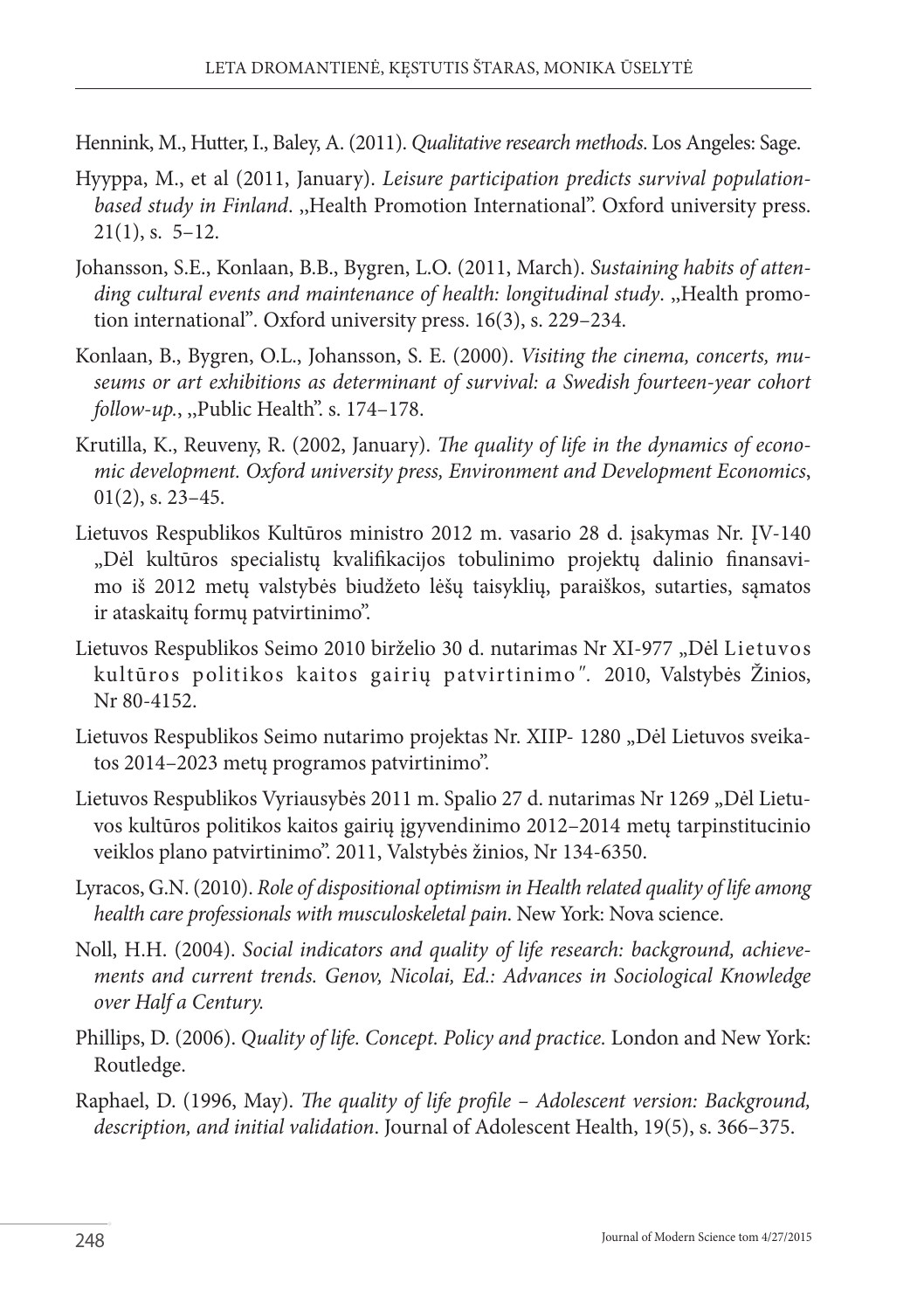Hennink, M., Hutter, I., Baley, A. (2011). *Qualitative research methods*. Los Angeles: Sage.

- Hyyppa, M., et al (2011, January). *Leisure participation predicts survival populationbased study in Finland*. ,,Health Promotion International". Oxford university press.  $21(1)$ , s. 5–12.
- Johansson, S.E., Konlaan, B.B., Bygren, L.O. (2011, March). *Sustaining habits of attending cultural events and maintenance of health: longitudinal study*. ,,Health promotion international"*.* Oxford university press. 16(3), s. 229–234.
- Konlaan, B., Bygren, O.L., Johansson, S. E. (2000). *Visiting the cinema, concerts, museums or art exhibitions as determinant of survival: a Swedish fourteen-year cohort follow-up.*, ,,Public Health". s. 174–178.
- Krutilla, K., Reuveny, R. (2002, January). *The quality of life in the dynamics of economic development. Oxford university press, Environment and Development Economics*,  $01(2)$ , s. 23–45.
- Lietuvos Respublikos Kultūros ministro 2012 m. vasario 28 d. įsakymas Nr. ĮV-140 "Dėl kultūros specialistų kvalifikacijos tobulinimo projektų dalinio finansavimo iš 2012 metų valstybės biudžeto lėšų taisyklių, paraiškos, sutarties, sąmatos ir ataskaitų formų patvirtinimo".
- Lietuvos Respublikos Seimo 2010 birželio 30 d. nutarimas Nr XI-977 "Dėl Lietuvos kultūros politikos kaitos gairių patvirtinimo*".* 2010, Valstybės Žinios, Nr 80-4152.
- Lietuvos Respublikos Seimo nutarimo projektas Nr. XIIP- 1280 "Dėl Lietuvos sveikatos 2014–2023 metų programos patvirtinimo".
- Lietuvos Respublikos Vyriausybės 2011 m. Spalio 27 d. nutarimas Nr 1269 "Dėl Lietuvos kultūros politikos kaitos gairių įgyvendinimo 2012–2014 metų tarpinstitucinio veiklos plano patvirtinimo". 2011, Valstybės žinios, Nr 134-6350.
- Lyracos, G.N. (2010). *Role of dispositional optimism in Health related quality of life among health care professionals with musculoskeletal pain*. New York: Nova science.
- Noll, H.H. (2004). *Social indicators and quality of life research: background, achievements and current trends. Genov, Nicolai, Ed.: Advances in Sociological Knowledge over Half a Century.*
- Phillips, D. (2006). *Quality of life. Concept. Policy and practice.* London and New York: Routledge.
- Raphael, D. (1996, May). *The quality of life profile Adolescent version: Background, description, and initial validation*. Journal of Adolescent Health, 19(5), s. 366–375.